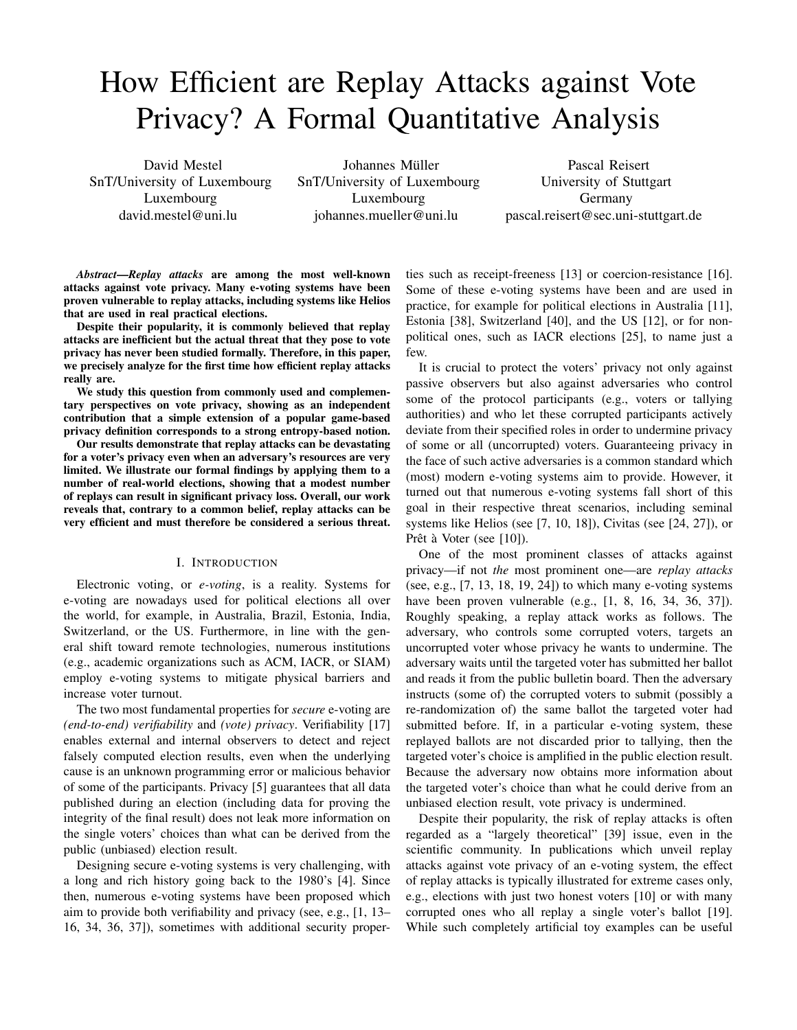# How Efficient are Replay Attacks against Vote Privacy? A Formal Quantitative Analysis

David Mestel SnT/University of Luxembourg Luxembourg david.mestel@uni.lu

Johannes Müller SnT/University of Luxembourg Luxembourg johannes.mueller@uni.lu

Pascal Reisert University of Stuttgart Germany pascal.reisert@sec.uni-stuttgart.de

*Abstract*—*Replay attacks* are among the most well-known attacks against vote privacy. Many e-voting systems have been proven vulnerable to replay attacks, including systems like Helios that are used in real practical elections.

Despite their popularity, it is commonly believed that replay attacks are inefficient but the actual threat that they pose to vote privacy has never been studied formally. Therefore, in this paper, we precisely analyze for the first time how efficient replay attacks really are.

We study this question from commonly used and complementary perspectives on vote privacy, showing as an independent contribution that a simple extension of a popular game-based privacy definition corresponds to a strong entropy-based notion.

Our results demonstrate that replay attacks can be devastating for a voter's privacy even when an adversary's resources are very limited. We illustrate our formal findings by applying them to a number of real-world elections, showing that a modest number of replays can result in significant privacy loss. Overall, our work reveals that, contrary to a common belief, replay attacks can be very efficient and must therefore be considered a serious threat.

### I. INTRODUCTION

Electronic voting, or *e-voting*, is a reality. Systems for e-voting are nowadays used for political elections all over the world, for example, in Australia, Brazil, Estonia, India, Switzerland, or the US. Furthermore, in line with the general shift toward remote technologies, numerous institutions (e.g., academic organizations such as ACM, IACR, or SIAM) employ e-voting systems to mitigate physical barriers and increase voter turnout.

The two most fundamental properties for *secure* e-voting are *(end-to-end) verifiability* and *(vote) privacy*. Verifiability [17] enables external and internal observers to detect and reject falsely computed election results, even when the underlying cause is an unknown programming error or malicious behavior of some of the participants. Privacy [5] guarantees that all data published during an election (including data for proving the integrity of the final result) does not leak more information on the single voters' choices than what can be derived from the public (unbiased) election result.

Designing secure e-voting systems is very challenging, with a long and rich history going back to the 1980's [4]. Since then, numerous e-voting systems have been proposed which aim to provide both verifiability and privacy (see, e.g., [1, 13– 16, 34, 36, 37]), sometimes with additional security properties such as receipt-freeness [13] or coercion-resistance [16]. Some of these e-voting systems have been and are used in practice, for example for political elections in Australia [11], Estonia [38], Switzerland [40], and the US [12], or for nonpolitical ones, such as IACR elections [25], to name just a few.

It is crucial to protect the voters' privacy not only against passive observers but also against adversaries who control some of the protocol participants (e.g., voters or tallying authorities) and who let these corrupted participants actively deviate from their specified roles in order to undermine privacy of some or all (uncorrupted) voters. Guaranteeing privacy in the face of such active adversaries is a common standard which (most) modern e-voting systems aim to provide. However, it turned out that numerous e-voting systems fall short of this goal in their respective threat scenarios, including seminal systems like Helios (see [7, 10, 18]), Civitas (see [24, 27]), or Prêt à Voter (see  $[10]$ ).

One of the most prominent classes of attacks against privacy—if not *the* most prominent one—are *replay attacks* (see, e.g., [7, 13, 18, 19, 24]) to which many e-voting systems have been proven vulnerable (e.g., [1, 8, 16, 34, 36, 37]). Roughly speaking, a replay attack works as follows. The adversary, who controls some corrupted voters, targets an uncorrupted voter whose privacy he wants to undermine. The adversary waits until the targeted voter has submitted her ballot and reads it from the public bulletin board. Then the adversary instructs (some of) the corrupted voters to submit (possibly a re-randomization of) the same ballot the targeted voter had submitted before. If, in a particular e-voting system, these replayed ballots are not discarded prior to tallying, then the targeted voter's choice is amplified in the public election result. Because the adversary now obtains more information about the targeted voter's choice than what he could derive from an unbiased election result, vote privacy is undermined.

Despite their popularity, the risk of replay attacks is often regarded as a "largely theoretical" [39] issue, even in the scientific community. In publications which unveil replay attacks against vote privacy of an e-voting system, the effect of replay attacks is typically illustrated for extreme cases only, e.g., elections with just two honest voters [10] or with many corrupted ones who all replay a single voter's ballot [19]. While such completely artificial toy examples can be useful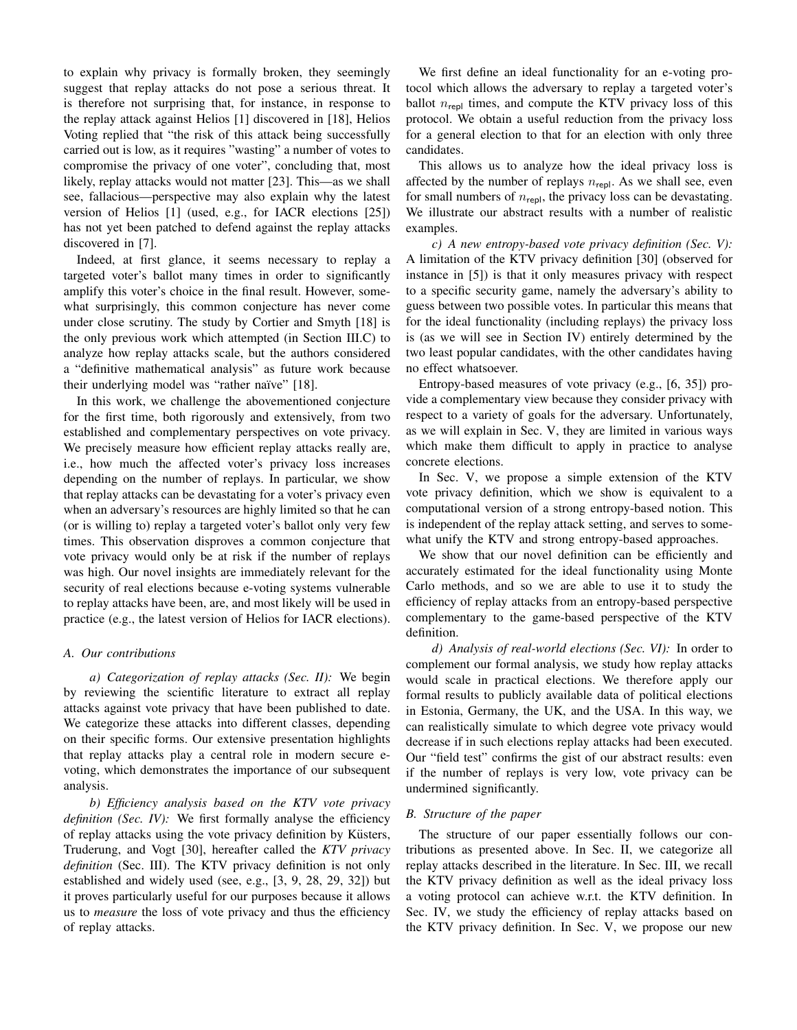to explain why privacy is formally broken, they seemingly suggest that replay attacks do not pose a serious threat. It is therefore not surprising that, for instance, in response to the replay attack against Helios [1] discovered in [18], Helios Voting replied that "the risk of this attack being successfully carried out is low, as it requires "wasting" a number of votes to compromise the privacy of one voter", concluding that, most likely, replay attacks would not matter [23]. This—as we shall see, fallacious—perspective may also explain why the latest version of Helios [1] (used, e.g., for IACR elections [25]) has not yet been patched to defend against the replay attacks discovered in [7].

Indeed, at first glance, it seems necessary to replay a targeted voter's ballot many times in order to significantly amplify this voter's choice in the final result. However, somewhat surprisingly, this common conjecture has never come under close scrutiny. The study by Cortier and Smyth [18] is the only previous work which attempted (in Section III.C) to analyze how replay attacks scale, but the authors considered a "definitive mathematical analysis" as future work because their underlying model was "rather naïve" [18].

In this work, we challenge the abovementioned conjecture for the first time, both rigorously and extensively, from two established and complementary perspectives on vote privacy. We precisely measure how efficient replay attacks really are, i.e., how much the affected voter's privacy loss increases depending on the number of replays. In particular, we show that replay attacks can be devastating for a voter's privacy even when an adversary's resources are highly limited so that he can (or is willing to) replay a targeted voter's ballot only very few times. This observation disproves a common conjecture that vote privacy would only be at risk if the number of replays was high. Our novel insights are immediately relevant for the security of real elections because e-voting systems vulnerable to replay attacks have been, are, and most likely will be used in practice (e.g., the latest version of Helios for IACR elections).

# *A. Our contributions*

*a) Categorization of replay attacks (Sec. II):* We begin by reviewing the scientific literature to extract all replay attacks against vote privacy that have been published to date. We categorize these attacks into different classes, depending on their specific forms. Our extensive presentation highlights that replay attacks play a central role in modern secure evoting, which demonstrates the importance of our subsequent analysis.

*b) Efficiency analysis based on the KTV vote privacy definition (Sec. IV):* We first formally analyse the efficiency of replay attacks using the vote privacy definition by Küsters, Truderung, and Vogt [30], hereafter called the *KTV privacy definition* (Sec. III). The KTV privacy definition is not only established and widely used (see, e.g., [3, 9, 28, 29, 32]) but it proves particularly useful for our purposes because it allows us to *measure* the loss of vote privacy and thus the efficiency of replay attacks.

We first define an ideal functionality for an e-voting protocol which allows the adversary to replay a targeted voter's ballot  $n_{\text{repl}}$  times, and compute the KTV privacy loss of this protocol. We obtain a useful reduction from the privacy loss for a general election to that for an election with only three candidates.

This allows us to analyze how the ideal privacy loss is affected by the number of replays  $n_{\text{repl}}$ . As we shall see, even for small numbers of  $n_{\text{repl}}$ , the privacy loss can be devastating. We illustrate our abstract results with a number of realistic examples.

*c) A new entropy-based vote privacy definition (Sec. V):* A limitation of the KTV privacy definition [30] (observed for instance in [5]) is that it only measures privacy with respect to a specific security game, namely the adversary's ability to guess between two possible votes. In particular this means that for the ideal functionality (including replays) the privacy loss is (as we will see in Section IV) entirely determined by the two least popular candidates, with the other candidates having no effect whatsoever.

Entropy-based measures of vote privacy (e.g., [6, 35]) provide a complementary view because they consider privacy with respect to a variety of goals for the adversary. Unfortunately, as we will explain in Sec. V, they are limited in various ways which make them difficult to apply in practice to analyse concrete elections.

In Sec. V, we propose a simple extension of the KTV vote privacy definition, which we show is equivalent to a computational version of a strong entropy-based notion. This is independent of the replay attack setting, and serves to somewhat unify the KTV and strong entropy-based approaches.

We show that our novel definition can be efficiently and accurately estimated for the ideal functionality using Monte Carlo methods, and so we are able to use it to study the efficiency of replay attacks from an entropy-based perspective complementary to the game-based perspective of the KTV definition.

*d) Analysis of real-world elections (Sec. VI):* In order to complement our formal analysis, we study how replay attacks would scale in practical elections. We therefore apply our formal results to publicly available data of political elections in Estonia, Germany, the UK, and the USA. In this way, we can realistically simulate to which degree vote privacy would decrease if in such elections replay attacks had been executed. Our "field test" confirms the gist of our abstract results: even if the number of replays is very low, vote privacy can be undermined significantly.

# *B. Structure of the paper*

The structure of our paper essentially follows our contributions as presented above. In Sec. II, we categorize all replay attacks described in the literature. In Sec. III, we recall the KTV privacy definition as well as the ideal privacy loss a voting protocol can achieve w.r.t. the KTV definition. In Sec. IV, we study the efficiency of replay attacks based on the KTV privacy definition. In Sec. V, we propose our new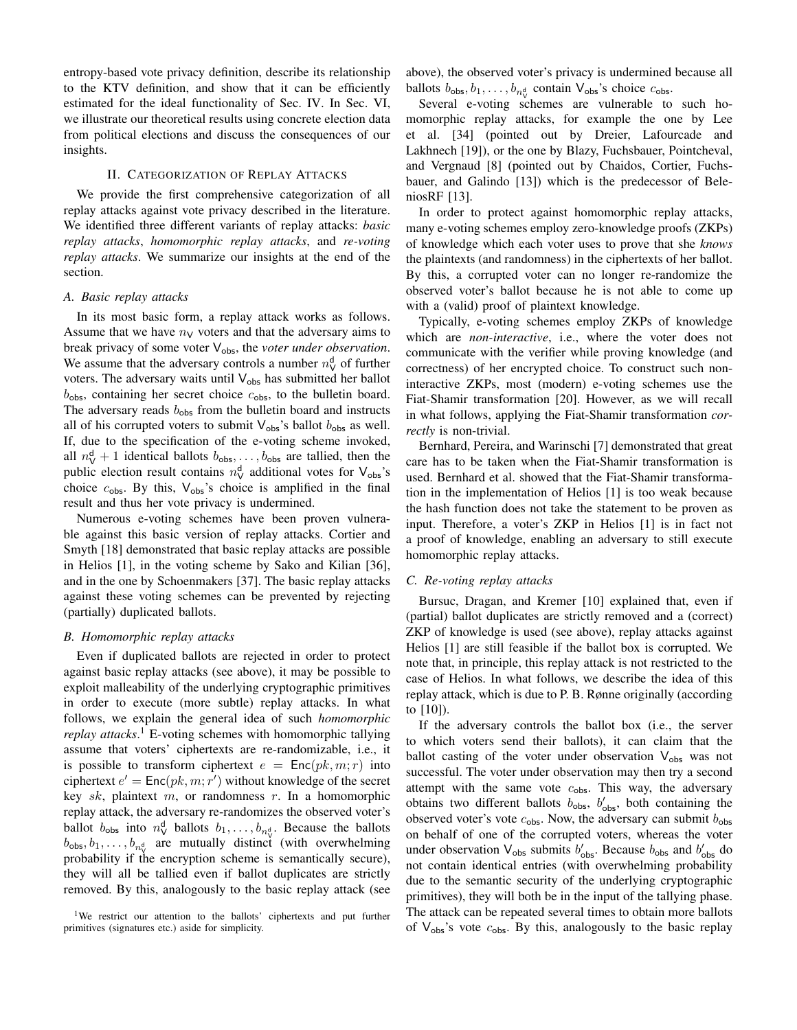entropy-based vote privacy definition, describe its relationship to the KTV definition, and show that it can be efficiently estimated for the ideal functionality of Sec. IV. In Sec. VI, we illustrate our theoretical results using concrete election data from political elections and discuss the consequences of our insights.

# II. CATEGORIZATION OF REPLAY ATTACKS

We provide the first comprehensive categorization of all replay attacks against vote privacy described in the literature. We identified three different variants of replay attacks: *basic replay attacks*, *homomorphic replay attacks*, and *re-voting replay attacks*. We summarize our insights at the end of the section.

### *A. Basic replay attacks*

In its most basic form, a replay attack works as follows. Assume that we have  $n_V$  voters and that the adversary aims to break privacy of some voter V<sub>obs</sub>, the *voter under observation*. We assume that the adversary controls a number  $n_V^d$  of further voters. The adversary waits until  $V_{obs}$  has submitted her ballot  $b_{\text{obs}}$ , containing her secret choice  $c_{\text{obs}}$ , to the bulletin board. The adversary reads  $b_{\text{obs}}$  from the bulletin board and instructs all of his corrupted voters to submit  $V_{obs}$ 's ballot  $b_{obs}$  as well. If, due to the specification of the e-voting scheme invoked, all  $n_V^d + 1$  identical ballots  $b_{obs}, \ldots, b_{obs}$  are tallied, then the public election result contains  $n_V^d$  additional votes for  $V_{obs}$ 's choice  $c_{\text{obs}}$ . By this,  $V_{\text{obs}}$ 's choice is amplified in the final result and thus her vote privacy is undermined.

Numerous e-voting schemes have been proven vulnerable against this basic version of replay attacks. Cortier and Smyth [18] demonstrated that basic replay attacks are possible in Helios [1], in the voting scheme by Sako and Kilian [36], and in the one by Schoenmakers [37]. The basic replay attacks against these voting schemes can be prevented by rejecting (partially) duplicated ballots.

# *B. Homomorphic replay attacks*

Even if duplicated ballots are rejected in order to protect against basic replay attacks (see above), it may be possible to exploit malleability of the underlying cryptographic primitives in order to execute (more subtle) replay attacks. In what follows, we explain the general idea of such *homomorphic replay attacks*. <sup>1</sup> E-voting schemes with homomorphic tallying assume that voters' ciphertexts are re-randomizable, i.e., it is possible to transform ciphertext  $e = \text{Enc}(pk, m; r)$  into ciphertext  $e' = \text{Enc}(pk, m; r')$  without knowledge of the secret key  $sk$ , plaintext  $m$ , or randomness  $r$ . In a homomorphic replay attack, the adversary re-randomizes the observed voter's ballot  $b_{\text{obs}}$  into  $n_{\text{V}}^{\text{d}}$  ballots  $b_1, \ldots, b_{n_{\text{V}}^{\text{d}}}$ . Because the ballots  $b_{\text{obs}}, b_1, \ldots, b_{n_{\text{V}}^d}$  are mutually distinct (with overwhelming probability if the encryption scheme is semantically secure), they will all be tallied even if ballot duplicates are strictly removed. By this, analogously to the basic replay attack (see above), the observed voter's privacy is undermined because all ballots  $b_{\text{obs}}, b_1, \ldots, b_{n_v}$  contain  $V_{\text{obs}}$ 's choice  $c_{\text{obs}}$ .

Several e-voting schemes are vulnerable to such homomorphic replay attacks, for example the one by Lee et al. [34] (pointed out by Dreier, Lafourcade and Lakhnech [19]), or the one by Blazy, Fuchsbauer, Pointcheval, and Vergnaud [8] (pointed out by Chaidos, Cortier, Fuchsbauer, and Galindo [13]) which is the predecessor of BeleniosRF [13].

In order to protect against homomorphic replay attacks, many e-voting schemes employ zero-knowledge proofs (ZKPs) of knowledge which each voter uses to prove that she *knows* the plaintexts (and randomness) in the ciphertexts of her ballot. By this, a corrupted voter can no longer re-randomize the observed voter's ballot because he is not able to come up with a (valid) proof of plaintext knowledge.

Typically, e-voting schemes employ ZKPs of knowledge which are *non-interactive*, i.e., where the voter does not communicate with the verifier while proving knowledge (and correctness) of her encrypted choice. To construct such noninteractive ZKPs, most (modern) e-voting schemes use the Fiat-Shamir transformation [20]. However, as we will recall in what follows, applying the Fiat-Shamir transformation *correctly* is non-trivial.

Bernhard, Pereira, and Warinschi [7] demonstrated that great care has to be taken when the Fiat-Shamir transformation is used. Bernhard et al. showed that the Fiat-Shamir transformation in the implementation of Helios [1] is too weak because the hash function does not take the statement to be proven as input. Therefore, a voter's ZKP in Helios [1] is in fact not a proof of knowledge, enabling an adversary to still execute homomorphic replay attacks.

# *C. Re-voting replay attacks*

Bursuc, Dragan, and Kremer [10] explained that, even if (partial) ballot duplicates are strictly removed and a (correct) ZKP of knowledge is used (see above), replay attacks against Helios [1] are still feasible if the ballot box is corrupted. We note that, in principle, this replay attack is not restricted to the case of Helios. In what follows, we describe the idea of this replay attack, which is due to P. B. Rønne originally (according to [10]).

If the adversary controls the ballot box (i.e., the server to which voters send their ballots), it can claim that the ballot casting of the voter under observation  $V_{obs}$  was not successful. The voter under observation may then try a second attempt with the same vote  $c_{\text{obs}}$ . This way, the adversary obtains two different ballots  $b_{obs}$ ,  $b'_{obs}$ , both containing the observed voter's vote  $c_{\text{obs}}$ . Now, the adversary can submit  $b_{\text{obs}}$ on behalf of one of the corrupted voters, whereas the voter under observation  $V_{obs}$  submits  $b'_{obs}$ . Because  $b_{obs}$  and  $b'_{obs}$  do not contain identical entries (with overwhelming probability due to the semantic security of the underlying cryptographic primitives), they will both be in the input of the tallying phase. The attack can be repeated several times to obtain more ballots of  $V_{\text{obs}}$ 's vote  $c_{\text{obs}}$ . By this, analogously to the basic replay

<sup>&</sup>lt;sup>1</sup>We restrict our attention to the ballots' ciphertexts and put further primitives (signatures etc.) aside for simplicity.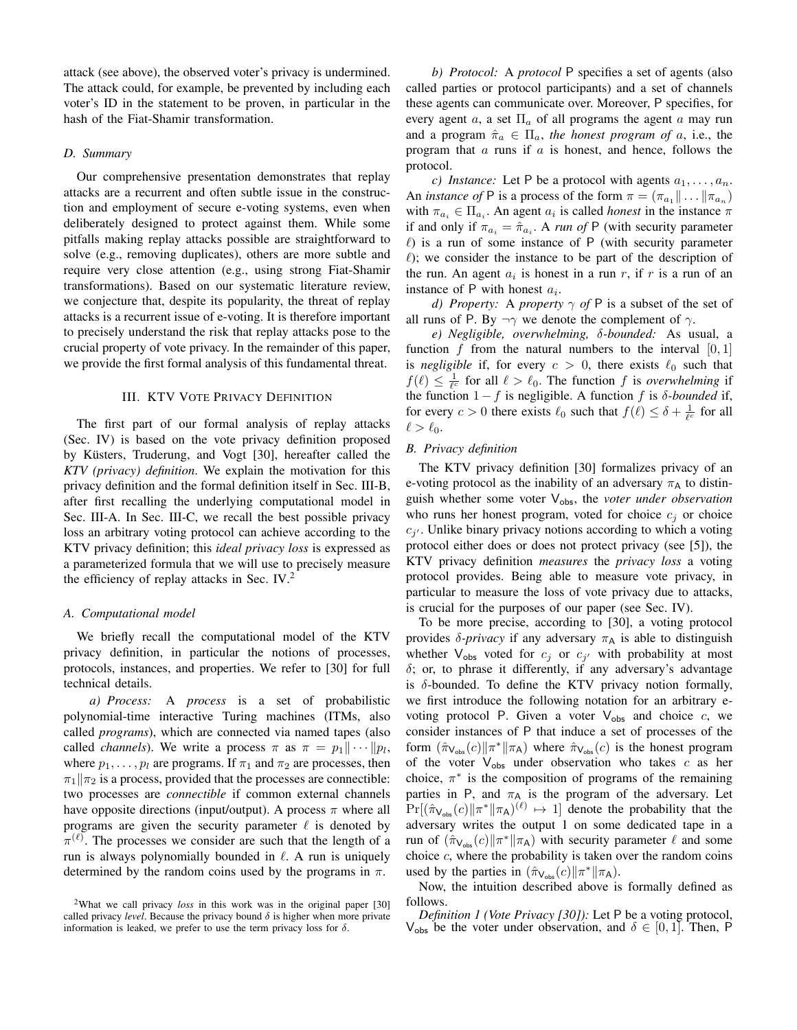attack (see above), the observed voter's privacy is undermined. The attack could, for example, be prevented by including each voter's ID in the statement to be proven, in particular in the hash of the Fiat-Shamir transformation.

# *D. Summary*

Our comprehensive presentation demonstrates that replay attacks are a recurrent and often subtle issue in the construction and employment of secure e-voting systems, even when deliberately designed to protect against them. While some pitfalls making replay attacks possible are straightforward to solve (e.g., removing duplicates), others are more subtle and require very close attention (e.g., using strong Fiat-Shamir transformations). Based on our systematic literature review, we conjecture that, despite its popularity, the threat of replay attacks is a recurrent issue of e-voting. It is therefore important to precisely understand the risk that replay attacks pose to the crucial property of vote privacy. In the remainder of this paper, we provide the first formal analysis of this fundamental threat.

#### III. KTV VOTE PRIVACY DEFINITION

The first part of our formal analysis of replay attacks (Sec. IV) is based on the vote privacy definition proposed by Küsters, Truderung, and Vogt [30], hereafter called the *KTV (privacy) definition*. We explain the motivation for this privacy definition and the formal definition itself in Sec. III-B, after first recalling the underlying computational model in Sec. III-A. In Sec. III-C, we recall the best possible privacy loss an arbitrary voting protocol can achieve according to the KTV privacy definition; this *ideal privacy loss* is expressed as a parameterized formula that we will use to precisely measure the efficiency of replay attacks in Sec. IV.<sup>2</sup>

### *A. Computational model*

We briefly recall the computational model of the KTV privacy definition, in particular the notions of processes, protocols, instances, and properties. We refer to [30] for full technical details.

*a) Process:* A *process* is a set of probabilistic polynomial-time interactive Turing machines (ITMs, also called *programs*), which are connected via named tapes (also called *channels*). We write a process  $\pi$  as  $\pi = p_1 || \cdots || p_l$ , where  $p_1, \ldots, p_l$  are programs. If  $\pi_1$  and  $\pi_2$  are processes, then  $\pi_1$ || $\pi_2$  is a process, provided that the processes are connectible: two processes are *connectible* if common external channels have opposite directions (input/output). A process  $\pi$  where all programs are given the security parameter  $\ell$  is denoted by  $\pi^{(\ell)}$ . The processes we consider are such that the length of a run is always polynomially bounded in  $\ell$ . A run is uniquely determined by the random coins used by the programs in  $\pi$ .

*b) Protocol:* A *protocol* P specifies a set of agents (also called parties or protocol participants) and a set of channels these agents can communicate over. Moreover, P specifies, for every agent a, a set  $\Pi_a$  of all programs the agent a may run and a program  $\hat{\pi}_a \in \Pi_a$ , the honest program of a, i.e., the program that  $a$  runs if  $a$  is honest, and hence, follows the protocol.

*c)* Instance: Let P be a protocol with agents  $a_1, \ldots, a_n$ . An *instance of* P is a process of the form  $\pi = (\pi_{a_1} || \dots || \pi_{a_n})$ with  $\pi_{a_i} \in \Pi_{a_i}$ . An agent  $a_i$  is called *honest* in the instance  $\pi$ if and only if  $\pi_{a_i} = \hat{\pi}_{a_i}$ . A *run of* P (with security parameter  $\ell$ ) is a run of some instance of P (with security parameter  $l$ ); we consider the instance to be part of the description of the run. An agent  $a_i$  is honest in a run r, if r is a run of an instance of P with honest  $a_i$ .

*d) Property:* A *property*  $\gamma$  *of* P is a subset of the set of all runs of P. By  $\neg \gamma$  we denote the complement of  $\gamma$ .

*e) Negligible, overwhelming,* δ*-bounded:* As usual, a function f from the natural numbers to the interval  $[0, 1]$ is *negligible* if, for every  $c > 0$ , there exists  $\ell_0$  such that  $f(\ell) \leq \frac{1}{\ell^c}$  for all  $\ell > \ell_0$ . The function f is *overwhelming* if the function  $1-f$  is negligible. A function f is  $\delta$ -bounded if, for every  $c > 0$  there exists  $\ell_0$  such that  $f(\ell) \leq \delta + \frac{1}{\ell^c}$  for all  $\ell > \ell_0$ .

# *B. Privacy definition*

The KTV privacy definition [30] formalizes privacy of an e-voting protocol as the inability of an adversary  $\pi_A$  to distinguish whether some voter V<sub>obs</sub>, the *voter under observation* who runs her honest program, voted for choice  $c_i$  or choice  $c_{j'}$ . Unlike binary privacy notions according to which a voting protocol either does or does not protect privacy (see [5]), the KTV privacy definition *measures* the *privacy loss* a voting protocol provides. Being able to measure vote privacy, in particular to measure the loss of vote privacy due to attacks, is crucial for the purposes of our paper (see Sec. IV).

To be more precise, according to [30], a voting protocol provides  $\delta$ -*privacy* if any adversary  $\pi_A$  is able to distinguish whether  $V_{obs}$  voted for  $c_j$  or  $c_{j'}$  with probability at most  $\delta$ ; or, to phrase it differently, if any adversary's advantage is  $\delta$ -bounded. To define the KTV privacy notion formally, we first introduce the following notation for an arbitrary evoting protocol P. Given a voter  $V_{obs}$  and choice c, we consider instances of P that induce a set of processes of the form  $(\hat{\pi}_{\mathsf{V}_{\text{obs}}}(c)||\pi^*||\pi_\mathsf{A})$  where  $\hat{\pi}_{\mathsf{V}_{\text{obs}}}(c)$  is the honest program of the voter  $V_{obs}$  under observation who takes c as her choice,  $\pi^*$  is the composition of programs of the remaining parties in P, and  $\pi_A$  is the program of the adversary. Let  $Pr[(\hat{\pi}_{V_{obs}}(c)||\pi^*||\pi_A)(\ell) \mapsto 1]$  denote the probability that the adversary writes the output 1 on some dedicated tape in a run of  $(\hat{\pi}_{V_{obs}}(c)||\pi^*||\pi_A)$  with security parameter  $\ell$  and some choice  $c$ , where the probability is taken over the random coins used by the parties in  $(\hat{\pi}_{\mathsf{V}_{\text{obs}}}(c)||\pi^*||\pi_\mathsf{A})$ .

Now, the intuition described above is formally defined as follows.

*Definition 1 (Vote Privacy [30]):* Let P be a voting protocol,  $V_{obs}$  be the voter under observation, and  $\delta \in [0,1]$ . Then, P

<sup>&</sup>lt;sup>2</sup>What we call privacy *loss* in this work was in the original paper [30] called privacy *level*. Because the privacy bound  $\delta$  is higher when more private information is leaked, we prefer to use the term privacy loss for  $\delta$ .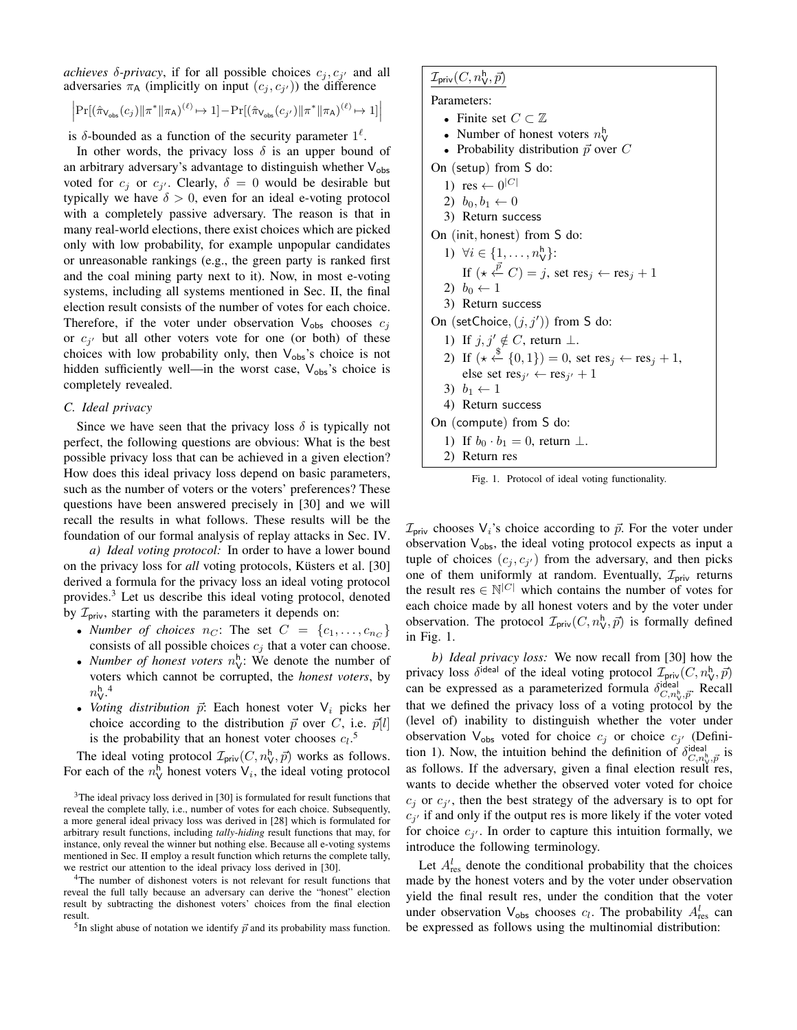*achieves*  $\delta$ -*privacy*, if for all possible choices  $c_j, c_{j'}$  and all adversaries  $\pi_A$  (implicitly on input  $(c_j, c_{j'})$ ) the difference

$$
\Big|\Pr[(\hat{\pi}_{\mathsf{V}_{\mathsf{obs}}}(c_j)\|\pi^*\|\pi_{\mathsf{A}})^{(\ell)}\mapsto 1] - \Pr[(\hat{\pi}_{\mathsf{V}_{\mathsf{obs}}}(c_{j'})\|\pi^*\|\pi_{\mathsf{A}})^{(\ell)}\mapsto 1]\Big|
$$

is  $\delta$ -bounded as a function of the security parameter  $1^{\ell}$ .

In other words, the privacy loss  $\delta$  is an upper bound of an arbitrary adversary's advantage to distinguish whether  $V_{obs}$ voted for  $c_j$  or  $c_{j'}$ . Clearly,  $\delta = 0$  would be desirable but typically we have  $\delta > 0$ , even for an ideal e-voting protocol with a completely passive adversary. The reason is that in many real-world elections, there exist choices which are picked only with low probability, for example unpopular candidates or unreasonable rankings (e.g., the green party is ranked first and the coal mining party next to it). Now, in most e-voting systems, including all systems mentioned in Sec. II, the final election result consists of the number of votes for each choice. Therefore, if the voter under observation  $V_{obs}$  chooses  $c_i$ or  $c_{j'}$  but all other voters vote for one (or both) of these choices with low probability only, then  $V_{obs}$ 's choice is not hidden sufficiently well—in the worst case,  $V_{obs}$ 's choice is completely revealed.

# *C. Ideal privacy*

Since we have seen that the privacy loss  $\delta$  is typically not perfect, the following questions are obvious: What is the best possible privacy loss that can be achieved in a given election? How does this ideal privacy loss depend on basic parameters, such as the number of voters or the voters' preferences? These questions have been answered precisely in [30] and we will recall the results in what follows. These results will be the foundation of our formal analysis of replay attacks in Sec. IV.

*a) Ideal voting protocol:* In order to have a lower bound on the privacy loss for *all* voting protocols, Küsters et al. [30] derived a formula for the privacy loss an ideal voting protocol provides.<sup>3</sup> Let us describe this ideal voting protocol, denoted by  $\mathcal{I}_{priv}$ , starting with the parameters it depends on:

- *Number of choices*  $n_C$ : The set  $C = \{c_1, \ldots, c_{n_C}\}$ consists of all possible choices  $c_j$  that a voter can choose.
- *Number of honest voters*  $n_{\mathsf{V}}^{\mathsf{h}}$ : We denote the number of voters which cannot be corrupted, the *honest voters*, by  $n_{\mathrm{V}}^{\mathrm{h}}$ .<sup>4</sup>
- *Voting distribution*  $\vec{p}$ : Each honest voter  $V_i$  picks her choice according to the distribution  $\vec{p}$  over C, i.e.  $\vec{p}[l]$ is the probability that an honest voter chooses  $c_l$ <sup>5</sup>

The ideal voting protocol  $\mathcal{I}_{\text{priv}}(C, n_{\mathsf{V}}^{\mathsf{h}}, \vec{p})$  works as follows. For each of the  $n_V^h$  honest voters  $V_i$ , the ideal voting protocol

<sup>4</sup>The number of dishonest voters is not relevant for result functions that reveal the full tally because an adversary can derive the "honest" election result by subtracting the dishonest voters' choices from the final election result.

<sup>5</sup>In slight abuse of notation we identify  $\vec{p}$  and its probability mass function.

| $\mathcal{I}_{\mathsf{priv}}(C, n_{\mathsf{V}}^{\mathsf{h}}, \vec{p})$                                                |  |  |  |  |  |  |  |
|-----------------------------------------------------------------------------------------------------------------------|--|--|--|--|--|--|--|
| Parameters:                                                                                                           |  |  |  |  |  |  |  |
| • Finite set $C \subset \mathbb{Z}$                                                                                   |  |  |  |  |  |  |  |
| • Number of honest voters $n_{\mathsf{V}}^{\mathsf{h}}$                                                               |  |  |  |  |  |  |  |
| • Probability distribution $\vec{p}$ over C                                                                           |  |  |  |  |  |  |  |
| On (setup) from S do:                                                                                                 |  |  |  |  |  |  |  |
| 1) res $\leftarrow 0^{ C }$                                                                                           |  |  |  |  |  |  |  |
| 2) $b_0, b_1 \leftarrow 0$                                                                                            |  |  |  |  |  |  |  |
| 3) Return success                                                                                                     |  |  |  |  |  |  |  |
| On (init, honest) from S do:                                                                                          |  |  |  |  |  |  |  |
| 1) $\forall i \in \{1, , n_{\mathsf{V}}^{\mathsf{h}}\}$ :                                                             |  |  |  |  |  |  |  |
| If $(\star \stackrel{\bar{p}}{\leftarrow} C) = j$ , set res <sub>j</sub> $\leftarrow$ res <sub>j</sub> + 1            |  |  |  |  |  |  |  |
| 2) $b_0 \leftarrow 1$                                                                                                 |  |  |  |  |  |  |  |
| 3) Return success                                                                                                     |  |  |  |  |  |  |  |
| On (setChoice, $(j, j')$ ) from S do:                                                                                 |  |  |  |  |  |  |  |
| 1) If $j, j' \notin C$ , return $\perp$ .                                                                             |  |  |  |  |  |  |  |
| 2) If $(\star \stackrel{\text{*}}{\leftarrow} \{0,1\}) = 0$ , set res <sub>j</sub> $\leftarrow$ res <sub>j</sub> + 1, |  |  |  |  |  |  |  |
| else set res <sub>i'</sub> $\leftarrow$ res <sub>i'</sub> + 1                                                         |  |  |  |  |  |  |  |
| 3) $b_1 \leftarrow 1$                                                                                                 |  |  |  |  |  |  |  |
| 4) Return success                                                                                                     |  |  |  |  |  |  |  |
| On (compute) from S do:                                                                                               |  |  |  |  |  |  |  |
| 1) If $b_0 \cdot b_1 = 0$ , return $\perp$ .                                                                          |  |  |  |  |  |  |  |

Fig. 1. Protocol of ideal voting functionality.

2) Return res

 $\mathcal{I}_{\text{priv}}$  chooses  $V_i$ 's choice according to  $\vec{p}$ . For the voter under observation  $V_{obs}$ , the ideal voting protocol expects as input a tuple of choices  $(c_j, c_{j'})$  from the adversary, and then picks one of them uniformly at random. Eventually,  $\mathcal{I}_{\text{priv}}$  returns the result res  $\in \mathbb{N}^{|C|}$  which contains the number of votes for each choice made by all honest voters and by the voter under observation. The protocol  $\mathcal{I}_{\text{priv}}(C, n_{\mathsf{V}}^{\mathsf{h}}, \vec{p})$  is formally defined in Fig. 1.

*b) Ideal privacy loss:* We now recall from [30] how the privacy loss  $\delta^{\text{ideal}}$  of the ideal voting protocol  $\mathcal{I}_{\text{priv}}(C, n_{\mathsf{V}}^{\mathsf{h}}, \vec{p})$ can be expressed as a parameterized formula  $\delta_{C,n_v^b,\vec{p}}^{ideal}$ . Recall that we defined the privacy loss of a voting protocol by the (level of) inability to distinguish whether the voter under observation  $V_{obs}$  voted for choice  $c_j$  or choice  $c_{j'}$  (Definition 1). Now, the intuition behind the definition of  $\delta_{C,n_v^b,\vec{p}}^{ideal}$  is as follows. If the adversary, given a final election result res, wants to decide whether the observed voter voted for choice  $c_j$  or  $c_{j'}$ , then the best strategy of the adversary is to opt for  $c_{j'}$  if and only if the output res is more likely if the voter voted for choice  $c_{j'}$ . In order to capture this intuition formally, we introduce the following terminology.

Let  $A_{\text{res}}^l$  denote the conditional probability that the choices made by the honest voters and by the voter under observation yield the final result res, under the condition that the voter under observation  $V_{obs}$  chooses  $c_l$ . The probability  $A_{res}^l$  can be expressed as follows using the multinomial distribution:

 $3$ The ideal privacy loss derived in [30] is formulated for result functions that reveal the complete tally, i.e., number of votes for each choice. Subsequently, a more general ideal privacy loss was derived in [28] which is formulated for arbitrary result functions, including *tally-hiding* result functions that may, for instance, only reveal the winner but nothing else. Because all e-voting systems mentioned in Sec. II employ a result function which returns the complete tally, we restrict our attention to the ideal privacy loss derived in [30].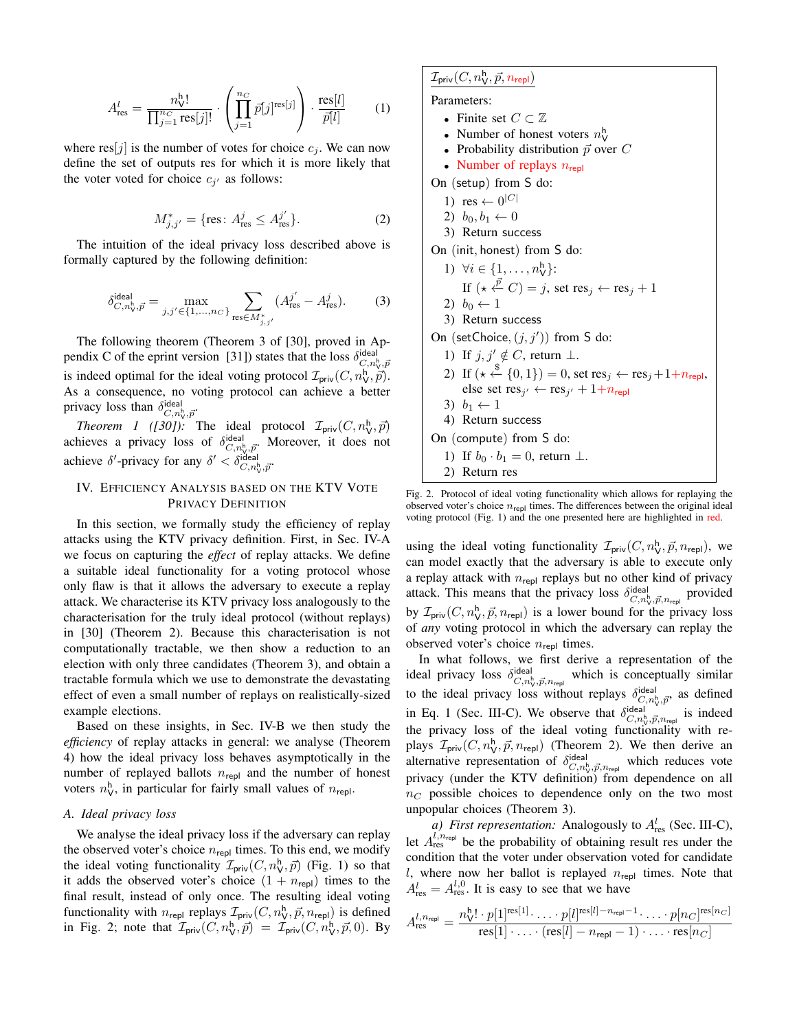$$
A_{\text{res}}^l = \frac{n_{\text{V}}^{\text{h}}!}{\prod_{j=1}^{n_C} \text{res}[j]!} \cdot \left( \prod_{j=1}^{n_C} \bar{p}[j]^{\text{res}[j]} \right) \cdot \frac{\text{res}[l]}{\bar{p}[l]} \qquad (1)
$$

where  $res[j]$  is the number of votes for choice  $c_j$ . We can now define the set of outputs res for which it is more likely that the voter voted for choice  $c_{j'}$  as follows:

$$
M_{j,j'}^* = \{ \text{res} \colon A_{\text{res}}^j \le A_{\text{res}}^{j'} \}. \tag{2}
$$

The intuition of the ideal privacy loss described above is formally captured by the following definition:

$$
\delta^{\text{ideal}}_{C,n_{\mathbf{V}}^{\mathbf{h}},\vec{p}} = \max_{j,j' \in \{1,\dots,n_C\}} \sum_{\text{res} \in M_{j,j'}^*} (A_{\text{res}}^{j'} - A_{\text{res}}^j). \tag{3}
$$

The following theorem (Theorem 3 of [30], proved in Appendix C of the eprint version [31]) states that the loss  $\delta^{\text{ideal}}_{C, n_v^{\text{b}}; \bar{p}}$ is indeed optimal for the ideal voting protocol  $\mathcal{I}_{\text{priv}}(C, n_{\mathsf{V}}^{\mathsf{h}}, \vec{p})$ . As a consequence, no voting protocol can achieve a better privacy loss than  $\delta_{C,n_{\mathsf{V}}^{\mathsf{h}},\vec{p}}^{\mathsf{ideal}}$ 

*Theorem 1 ([30])*: The ideal protocol  $\mathcal{I}_{\text{priv}}(C, n_{\mathsf{V}}^{\mathsf{h}}, \vec{p})$ Theorem T (1501). The ideal protocol  $\mathcal{L}_{\text{priv}}(\mathcal{C}, n_V, p)$ <br>achieves a privacy loss of  $\delta_{\mathcal{C}, n_V, \vec{p}}^{\text{ideal}}$ . Moreover, it does not achieve  $\delta'$ -privacy for any  $\delta' < \delta_{C,n_v^b, \vec{p}}^{\text{ideal}}$ 

# IV. EFFICIENCY ANALYSIS BASED ON THE KTV VOTE PRIVACY DEFINITION

In this section, we formally study the efficiency of replay attacks using the KTV privacy definition. First, in Sec. IV-A we focus on capturing the *effect* of replay attacks. We define a suitable ideal functionality for a voting protocol whose only flaw is that it allows the adversary to execute a replay attack. We characterise its KTV privacy loss analogously to the characterisation for the truly ideal protocol (without replays) in [30] (Theorem 2). Because this characterisation is not computationally tractable, we then show a reduction to an election with only three candidates (Theorem 3), and obtain a tractable formula which we use to demonstrate the devastating effect of even a small number of replays on realistically-sized example elections.

Based on these insights, in Sec. IV-B we then study the *efficiency* of replay attacks in general: we analyse (Theorem 4) how the ideal privacy loss behaves asymptotically in the number of replayed ballots  $n_{\text{repl}}$  and the number of honest voters  $n_{\rm V}^{\rm h}$ , in particular for fairly small values of  $n_{\rm repl}$ .

# *A. Ideal privacy loss*

We analyse the ideal privacy loss if the adversary can replay the observed voter's choice  $n_{\text{repl}}$  times. To this end, we modify the ideal voting functionality  $\mathcal{I}_{\text{priv}}(C, n_{\mathsf{V}}^{\mathsf{h}}, \vec{p})$  (Fig. 1) so that it adds the observed voter's choice  $(1 + n_{\text{ren}})$  times to the final result, instead of only once. The resulting ideal voting functionality with  $n_{\text{repl}}$  replays  $\mathcal{I}_{\text{priv}}(C, n_{\text{V}}^{\text{h}}, \vec{p}, n_{\text{repl}})$  is defined in Fig. 2; note that  $\mathcal{I}_{\text{priv}}(C, n_{\mathsf{V}}^{\mathsf{h}}, \vec{p}) = \mathcal{I}_{\text{priv}}(C, n_{\mathsf{V}}^{\mathsf{h}}, \vec{p}, 0)$ . By

# $\mathcal{I}_{\mathsf{priv}}(C, n_{\mathsf{V}}^{\mathsf{h}}, \vec{p}, n_{\mathsf{repl}})$

Parameters:

- Finite set  $C \subset \mathbb{Z}$
- Number of honest voters  $n_{\mathsf{V}}^{\mathsf{h}}$
- Probability distribution  $\vec{p}$  over C
- Number of replays  $n_{\text{repl}}$

On (setup) from S do:

- 1)  $res \leftarrow 0^{|C|}$
- 2)  $b_0, b_1 \leftarrow 0$
- 3) Return success

On (init, honest) from S do:

1) 
$$
\forall i \in \{1, ..., n_{\forall}^h\}
$$
:  
\nIf  $(\star \stackrel{\vec{p}}{\leftarrow} C) = j$ , set  $\text{res}_j \leftarrow \text{res}_j + 1$   
\n2)  $b_0 \leftarrow 1$   
\n3) Return success

On (setChoice, 
$$
(j, j')
$$
) from S do:

- 1) If  $j, j' \notin C$ , return  $\perp$ .
- 2) If  $(\star \stackrel{\$}{\leftarrow} \{0,1\}) = 0$ , set res<sub>j</sub>  $\leftarrow$  res<sub>j</sub> + 1 + n<sub>repl</sub>, else set res<sub>j'</sub>  $\leftarrow$  res<sub>j'</sub> + 1+n<sub>repl</sub>
- 3)  $b_1 \leftarrow 1$
- 4) Return success

On (compute) from S do:

- 1) If  $b_0 \cdot b_1 = 0$ , return  $\perp$ .
- 2) Return res

Fig. 2. Protocol of ideal voting functionality which allows for replaying the observed voter's choice  $n_{\text{repl}}$  times. The differences between the original ideal voting protocol (Fig. 1) and the one presented here are highlighted in red.

using the ideal voting functionality  $\mathcal{I}_{\text{priv}}(C, n_{\mathsf{V}}^{\mathsf{h}}, \vec{p}, n_{\text{repl}})$ , we can model exactly that the adversary is able to execute only a replay attack with  $n_{\text{repl}}$  replays but no other kind of privacy attack. This means that the privacy loss  $\delta_{C,n_{\rm V}^h,\vec{p},n_{\rm repl}}^{\rm ideal}$  provided by  $\mathcal{I}_{\text{priv}}(C, n_{\mathsf{V}}^{\mathsf{h}}, \vec{p}, n_{\text{repl}})$  is a lower bound for the privacy loss of *any* voting protocol in which the adversary can replay the observed voter's choice  $n_{\text{repl}}$  times.

In what follows, we first derive a representation of the ideal privacy loss  $\delta_{C,n_v^b,\vec{p},n_{\text{rep}}}^{\text{ideal}}$  which is conceptually similar to the ideal privacy loss without replays  $\delta_{C,n_v}^{\text{ideal}}$  as defined in Eq. 1 (Sec. III-C). We observe that  $\delta_{C,n_v^{\text{b}},\vec{p},n_{\text{rep}}}^{\text{ideal}}$  is indeed the privacy loss of the ideal voting functionality with replays  $\mathcal{I}_{\text{priv}}(C, n_{\mathsf{V}}^{\mathsf{h}}, \vec{p}, n_{\text{repl}})$  (Theorem 2). We then derive an alternative representation of  $\delta_{C,n_v^{\text{b}}\!,\vec{p},n_{\text{rep}}}^{\text{ideal}}$  which reduces vote privacy (under the KTV definition) from dependence on all  $n<sub>C</sub>$  possible choices to dependence only on the two most unpopular choices (Theorem 3).

*a*) First representation: Analogously to  $A_{\text{res}}^l$  (Sec. III-C), let  $A^{l,n_{\text{rep}}}_{\text{res}}$  be the probability of obtaining result res under the condition that the voter under observation voted for candidate l, where now her ballot is replayed  $n_{\text{repl}}$  times. Note that  $A_{\text{res}}^l = A_{\text{res}}^{l,0}$ . It is easy to see that we have

$$
A_{\text{res}}^{l,n_{\text{repl}}} = \frac{n_{\text{V}}^{h}! \cdot p[1]^{\text{res}[1]} \cdot \ldots \cdot p[l]^{\text{res}[l] - n_{\text{repl}} - 1} \cdot \ldots \cdot p[n_C]^{\text{res}[n_C]}}{\text{res}[1] \cdot \ldots \cdot (\text{res}[l] - n_{\text{repl}} - 1) \cdot \ldots \cdot \text{res}[n_C]}
$$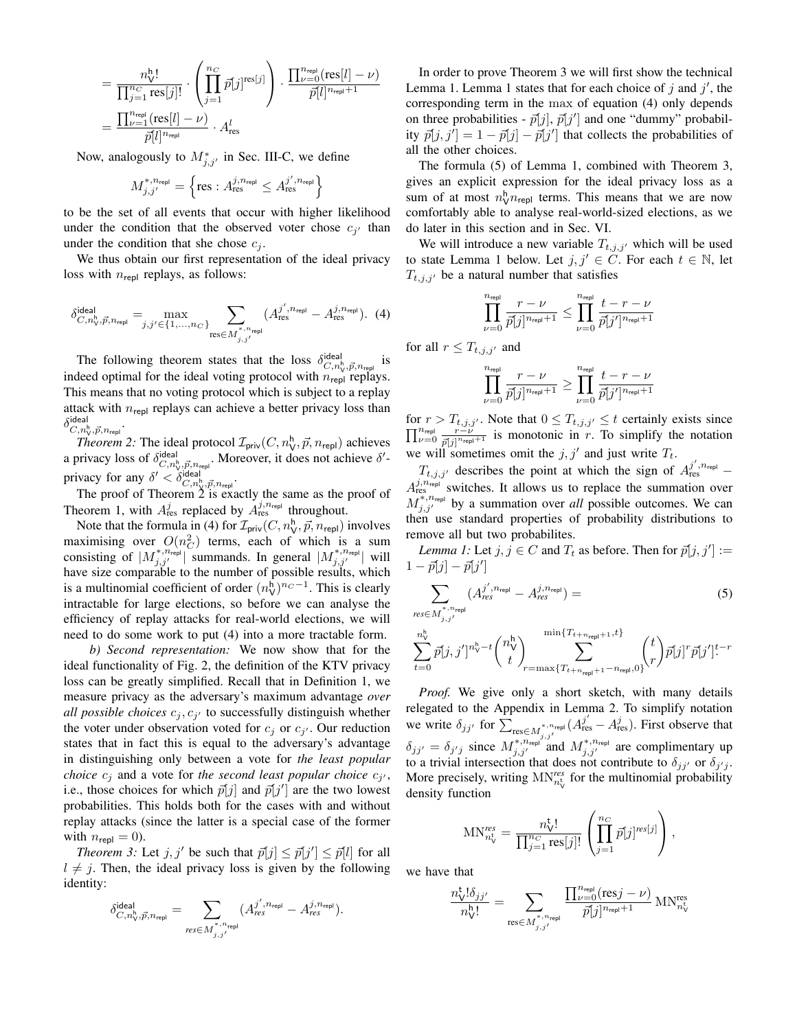$$
= \frac{n_{\mathsf{V}}^{\mathsf{h}}!}{\prod_{j=1}^{n_C} \mathrm{res}[j]!} \cdot \left( \prod_{j=1}^{n_C} \bar{p}[j]^{\mathrm{res}[j]} \right) \cdot \frac{\prod_{\nu=0}^{n_{\mathsf{rep}}} (\mathrm{res}[l] - \nu)}{\bar{p}[l]^{n_{\mathsf{rep}}+1}}
$$

$$
= \frac{\prod_{\nu=1}^{n_{\mathsf{rep}}} (\mathrm{res}[l] - \nu)}{\bar{p}[l]^{n_{\mathsf{rep}}}} \cdot A_{\mathrm{res}}^l
$$

Now, analogously to  $M^*_{j,j'}$  in Sec. III-C, we define

$$
M_{j,j'}^{*,n_{\text{repl}}} = \left\{\text{res} : A_{\text{res}}^{j,n_{\text{repl}}} \leq A_{\text{res}}^{j',n_{\text{repl}}}\right\}
$$

to be the set of all events that occur with higher likelihood under the condition that the observed voter chose  $c_{j'}$  than under the condition that she chose  $c_i$ .

We thus obtain our first representation of the ideal privacy loss with  $n_{\text{repl}}$  replays, as follows:

$$
\delta^{\text{ideal}}_{C,n_{\mathcal{V}}^{\mathsf{h}}, \vec{p}, n_{\text{repl}}} = \max_{j, j' \in \{1, \dots, n_C\}} \sum_{\text{res} \in M_{j, j'}^{\ast, n_{\text{repl}}}} (A_{\text{res}}^{j', n_{\text{repl}}} - A_{\text{res}}^{j, n_{\text{repl}}}). \tag{4}
$$

The following theorem states that the loss  $\delta_{C,n_v}^{ideal}$  is indeed optimal for the ideal voting protocol with  $n_{\text{repl}}$  replays. This means that no voting protocol which is subject to a replay attack with  $n_{\text{repl}}$  replays can achieve a better privacy loss than  $\delta^{\mathsf{ideal}}_{C, n_{\mathsf{V}}^\mathsf{h}, \vec{p}, n_\mathsf{repl}}.$ 

*Theorem 2:* The ideal protocol  $\mathcal{I}_{\text{priv}}(C, n_{\mathsf{V}}^{\mathsf{h}}, \vec{p}, n_{\text{repl}})$  achieves a privacy loss of  $\delta^{\text{ideal}}_{C, n_v^b, \vec{p}, n_{\text{rep}}}.$  Moreover, it does not achieve  $\delta'$ privacy for any  $\delta' < \delta_{C,n_{\rm V}^{\rm h}, \vec{p}, n_{\rm repl}}^{\rm ideal}$ .

The proof of Theorem 2 is exactly the same as the proof of Theorem 1, with  $A_{\text{res}}^j$  replaced by  $A_{\text{res}}^{j,n_{\text{repl}}}$  throughout.

Note that the formula in (4) for  $\mathcal{I}_{\text{priv}}(C, n_{\mathsf{V}}^{\mathsf{h}}, \vec{p}, n_{\text{repl}})$  involves maximising over  $O(n_C^2)$  terms, each of which is a sum consisting of  $|M_{j,j'}^{*,n_{\text{rep}}}|$  summands. In general  $|M_{j,j'}^{*,n_{\text{rep}}}|$  will have size comparable to the number of possible results, which is a multinomial coefficient of order  $(n_V^h)^{n_C-1}$ . This is clearly intractable for large elections, so before we can analyse the efficiency of replay attacks for real-world elections, we will need to do some work to put (4) into a more tractable form.

*b) Second representation:* We now show that for the ideal functionality of Fig. 2, the definition of the KTV privacy loss can be greatly simplified. Recall that in Definition 1, we measure privacy as the adversary's maximum advantage *over all possible choices*  $c_j$ ,  $c_{j'}$  to successfully distinguish whether the voter under observation voted for  $c_j$  or  $c_{j'}$ . Our reduction states that in fact this is equal to the adversary's advantage in distinguishing only between a vote for *the least popular choice*  $c_j$  and a vote for *the second least popular choice*  $c_{j'}$ , i.e., those choices for which  $\bar{p}[j]$  and  $\bar{p}[j']$  are the two lowest probabilities. This holds both for the cases with and without replay attacks (since the latter is a special case of the former with  $n_{\text{repl}} = 0$ ).

*Theorem 3:* Let  $j, j'$  be such that  $\bar{p}[j] \leq \bar{p}[j'] \leq \bar{p}[l]$  for all  $l \neq j$ . Then, the ideal privacy loss is given by the following identity:

$$
\delta^{\text{ideal}}_{C, n_{\mathrm{V}}^{\mathrm{h}}, \vec{p}, n_{\mathrm{repl}}} = \sum_{\mathrm{res} \in M^{*, n_{\mathrm{repl}}}_{j, j'}} (A^{{j'}, n_{\mathrm{repl}}}_{\mathrm{res}} - A^{{j}, n_{\mathrm{repl}}}_{\mathrm{res}}).
$$

In order to prove Theorem 3 we will first show the technical Lemma 1. Lemma 1 states that for each choice of  $j$  and  $j'$ , the corresponding term in the max of equation (4) only depends on three probabilities -  $\bar{p}[j], \bar{p}[j']$  and one "dummy" probability  $\bar{p}[j, j'] = 1 - \bar{p}[j] - \bar{p}[j']$  that collects the probabilities of all the other choices.

The formula (5) of Lemma 1, combined with Theorem 3, gives an explicit expression for the ideal privacy loss as a sum of at most  $n_{\mathsf{V}}^{\mathsf{h}} n_{\mathsf{repl}}$  terms. This means that we are now comfortably able to analyse real-world-sized elections, as we do later in this section and in Sec. VI.

We will introduce a new variable  $T_{t,j,j'}$  which will be used to state Lemma 1 below. Let  $j, j' \in C$ . For each  $t \in \mathbb{N}$ , let  $T_{t,j,j'}$  be a natural number that satisfies

$$
\prod_{\nu=0}^{n_{\mathrm{repl}}}\frac{r-\nu}{\bar{p}[j]^{n_{\mathrm{repl}}+1}}\leq \prod_{\nu=0}^{n_{\mathrm{repl}}}\frac{t-r-\nu}{\bar{p}[j']^{n_{\mathrm{repl}}+1}}
$$

for all  $r \leq T_{t,j,j'}$  and

$$
\prod_{\nu=0}^{n_{\mathsf{repl}}}\frac{r-\nu}{\bar{p}[j]^{n_{\mathsf{repl}}+1}}\geq \prod_{\nu=0}^{n_{\mathsf{repl}}}\frac{t-r-\nu}{\bar{p}[j']^{n_{\mathsf{repl}}+1}}
$$

for  $r > T_{t,j,j'}$ . Note that  $0 \leq T_{t,j,j'} \leq t$  certainly exists since  $\prod_{\nu=0}^{n_{\text{repl}}} \frac{r-\nu}{\vec{n}^{\left[ j \right]^{n_{\text{rep}}}}}$  $\frac{r-\nu}{p[j]^{n_{\text{rep}}+1}}$  is monotonic in r. To simplify the notation we will sometimes omit the  $j, j'$  and just write  $T_t$ .

 $T_{t,j,j'}$  describes the point at which the sign of  $A_{\text{res}}^{j',n_{\text{rep}}} A_{\text{res}}^{j,n_{\text{rep}}\acute{}}$  switches. It allows us to replace the summation over  $\overline{M}_{j,j'}^{*,n_{\text{repl}}}$  by a summation over *all* possible outcomes. We can then use standard properties of probability distributions to remove all but two probabilites.

*Lemma 1:* Let  $j, j \in C$  and  $T_t$  as before. Then for  $\bar{p}[j, j'] :=$  $1 - \vec{p}[j] - \vec{p}[j']$ 

$$
\sum_{\mathbf{s}\in M_{j,j'}^{\ast,n_{\mathsf{repl}}}} (A_{\mathsf{res}}^{j',n_{\mathsf{repl}}}-A_{\mathsf{res}}^{j,n_{\mathsf{repl}}})= \tag{5}
$$

$$
\sum_{t=0}^{n_V^{\rm t}} \bar{p}[j,j']^{n_V^{\rm h}-t} \binom{n_V^{\rm h}}{t}_{r=\max\{T_{t+n_{\rm{rep}}+1}-n_{\rm{rep}},0\}}^{min\{T_{t+n_{\rm{rep}}+1},t\}} \binom{t}{r} \bar{p}[j]^r \bar{p}[j']^{t-r}
$$

*Proof.* We give only a short sketch, with many details relegated to the Appendix in Lemma 2. To simplify notation we write  $\delta_{jj'}$  for  $\sum_{\text{res}\in M_{j,j'}^{*,n_{\text{rep}}}}^{\infty}(A_{\text{res}}^{j'}-A_{\text{res}}^{j}).$  First observe that  $\delta_{jj'} = \delta_{j'j}$  since  $M^{*,n_{\text{rep}}'}_{j,j'}$  and  $M^{*,n_{\text{rep}}}_{j,j'}$  are complimentary up to a trivial intersection that does not contribute to  $\delta_{jj'}$  or  $\delta_{j'j}$ . More precisely, writing  $MN_{n_V}^{res}$  for the multinomial probability density function

$$
\text{MN}_{n_{\text{V}}^{\text{res}}}^{\text{res}} = \frac{n_{\text{V}}^{\text{t}}!}{\prod_{j=1}^{n_{\text{C}}}\text{res}[j]!} \left(\prod_{j=1}^{n_{\text{C}}}\bar{p}[j]^{\text{res}[j]}\right),
$$

we have that

*re* 

$$
\frac{n_{\mathbf{V}}^{\mathsf{t}}! \delta_{jj'}}{n_{\mathbf{V}}^{\mathsf{h}}!} = \sum_{\mathsf{res}\in M^{*, n_{\mathsf{rep}}^{\mathsf{t}}}_{j,j'} } \frac{\prod_{\nu=0}^{n_{\mathsf{rep}}}\left(\text{res} j-\nu\right)}{\bar{p}[j]^{n_{\mathsf{rep}}+1}} \, \text{MN}^{\mathsf{res}}_{n_{\mathbf{V}}^{\mathsf{t}}}
$$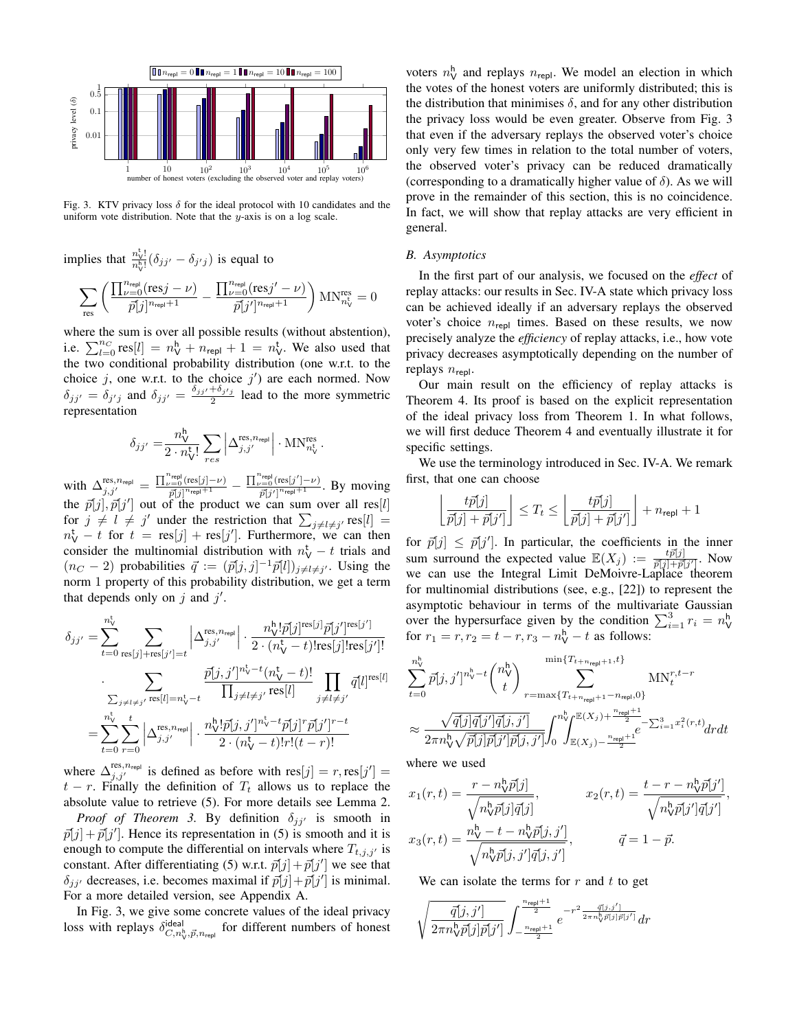

Fig. 3. KTV privacy loss  $\delta$  for the ideal protocol with 10 candidates and the uniform vote distribution. Note that the  $y$ -axis is on a log scale.

implies that  $\frac{n_{\rm V}^{\rm t}}{n_{\rm B}}$  $\frac{n_{\mathsf{V}}!}{n_{\mathsf{V}}^{h}!}(\delta_{jj'}-\delta_{j'j})$  is equal to

$$
\sum_{\text{res}}\left(\frac{\prod_{\nu=0}^{n_\text{repl}}(\text{res}j-\nu)}{\bar{p}[j]^{n_\text{repl}+1}}-\frac{\prod_{\nu=0}^{n_\text{repl}}(\text{res}j'-\nu)}{\bar{p}[j']^{n_\text{repl}+1}}\right)\text{MN}^{\text{res}}_{n_\text{V}^{\text{t}}}=0
$$

where the sum is over all possible results (without abstention), i.e.  $\sum_{l=0}^{n_C} \text{res}[l] = n_{\mathsf{V}}^{\mathsf{h}} + n_{\text{repl}} + 1 = n_{\mathsf{V}}^{\mathsf{t}}$ . We also used that the two conditional probability distribution (one w.r.t. to the choice  $j$ , one w.r.t. to the choice  $j'$  are each normed. Now  $\delta_{jj'} = \delta_{j'j}$  and  $\delta_{jj'} = \frac{\delta_{jj'} + \delta_{j'j}}{2}$  lead to the more symmetric representation

$$
\delta_{jj'}=\!\frac{n^\text{h}_\text{V}}{2\cdot n^\text{t}_\text{V}!}\sum_{res}\left|\Delta_{j,j'}^\text{res,n_\text{repl}}\right|\cdot\text{MN}^\text{res}_{n^\text{t}_\text{V}}\,.
$$

with  $\Delta_{j,j'}^{\text{res},n_{\text{repl}}} = \frac{\prod_{\nu=0}^{n_{\text{repl}}}\left(\text{res}[j]-\nu\right)}{\vec{n}^{\text{eq}}\cdot\vec{n}^{\text{eql}}+1}$  $\frac{\overline{p}^{\text{1}}\text{repl}}{p[j]^{\text{n-}}\text{repl}+1} = \frac{\prod_{\nu=0}^{\text{n-}}\text{repl}}{p[j]^{\gamma} \overline{p}[\text{repl}+1]}$  $\frac{p}{\bar{p}[j']^{n_{\text{repl}}+1}}$ . By moving the  $\bar{p}[j], \bar{p}[j']$  out of the product we can sum over all res[l] for  $j \neq l \neq j'$  under the restriction that  $\sum_{j \neq l \neq j'} \text{res}[l] =$  $n_V^t - t$  for  $t = \text{res}[j] + \text{res}[j']$ . Furthermore, we can then consider the multinomial distribution with  $n_V^{\rm t} - t$  trials and  $(n_C - 2)$  probabilities  $\vec{q} := (\vec{p}[j, j]^{-1} \vec{p}[l])_{j \neq l \neq j'}$ . Using the norm 1 property of this probability distribution, we get a term that depends only on  $j$  and  $j'$ .

$$
\delta_{jj'} = \sum_{t=0}^{n_v^{\text{t}}} \sum_{\text{res}[j]+\text{res}[j']=t} \left| \Delta_{j,j'}^{\text{res},n_{\text{repl}}} \right| \cdot \frac{n_v^{\text{h}}! \bar{p}[j]^{\text{res}[j]} \bar{p}[j']^{\text{res}[j']}}{2 \cdot (n_v^{\text{t}} - t)! \text{res}[j]! \text{res}[j']!}
$$

$$
\cdot \sum_{\substack{\sum_{j \neq l \neq j'} \text{res}[l] = n_v^{\text{t}} - t}} \frac{\bar{p}[j,j']^{n_v^{\text{t}} - t} (n_v^{\text{t}} - t)!}{\prod_{j \neq l \neq j'} \text{res}[l]} \prod_{j \neq l \neq j'} \bar{q}[l]^{\text{res}[l]}
$$

$$
= \sum_{t=0}^{n_v^{\text{t}}} \sum_{r=0}^{t} \left| \Delta_{j,j'}^{\text{res},n_{\text{repl}}} \right| \cdot \frac{n_v^{\text{h}}! \bar{p}[j,j']^{n_v^{\text{t}} - t} \bar{p}[j]^r \bar{p}[j']^{r-t}}{2 \cdot (n_v^{\text{t}} - t)! r!(t - r)!}
$$

where  $\Delta_{j,j'}^{\text{res},n_{\text{repl}}}$  is defined as before with  $res[j] = r, res[j'] =$  $t - r$ . Finally the definition of  $T_t$  allows us to replace the absolute value to retrieve (5). For more details see Lemma 2. *Proof of Theorem 3.* By definition  $\delta_{jj'}$  is smooth in  $\bar{p}[j] + \bar{p}[j']$ . Hence its representation in (5) is smooth and it is enough to compute the differential on intervals where  $T_{t,j,j'}$  is constant. After differentiating (5) w.r.t.  $\vec{p}[j] + \vec{p}[j']$  we see that  $\delta_{jj'}$  decreases, i.e. becomes maximal if  $\bar{p}[j] + \bar{p}[j']$  is minimal. For a more detailed version, see Appendix A.

In Fig. 3, we give some concrete values of the ideal privacy loss with replays  $\delta^{\text{ideal}}_{C,n^{\mathsf{h}}_{\mathsf{V}}, \vec{p}, n_{\text{rep}} }$  for different numbers of honest

voters  $n_{\mathsf{V}}^{\mathsf{h}}$  and replays  $n_{\mathsf{repl}}$ . We model an election in which the votes of the honest voters are uniformly distributed; this is the distribution that minimises  $\delta$ , and for any other distribution the privacy loss would be even greater. Observe from Fig. 3 that even if the adversary replays the observed voter's choice only very few times in relation to the total number of voters, the observed voter's privacy can be reduced dramatically (corresponding to a dramatically higher value of  $\delta$ ). As we will prove in the remainder of this section, this is no coincidence. In fact, we will show that replay attacks are very efficient in general.

# *B. Asymptotics*

In the first part of our analysis, we focused on the *effect* of replay attacks: our results in Sec. IV-A state which privacy loss can be achieved ideally if an adversary replays the observed voter's choice  $n_{\text{repl}}$  times. Based on these results, we now precisely analyze the *efficiency* of replay attacks, i.e., how vote privacy decreases asymptotically depending on the number of replays  $n_{\text{repl}}$ .

Our main result on the efficiency of replay attacks is Theorem 4. Its proof is based on the explicit representation of the ideal privacy loss from Theorem 1. In what follows, we will first deduce Theorem 4 and eventually illustrate it for specific settings.

We use the terminology introduced in Sec. IV-A. We remark first, that one can choose

$$
\left\lfloor \frac{t\bar{p}[j]}{\bar{p}[j] + \bar{p}[j']}\right\rfloor \le T_t \le \left\lfloor \frac{t\bar{p}[j]}{\bar{p}[j] + \bar{p}[j']}\right\rfloor + n_{\sf repl} + 1
$$

for  $\bar{p}[j] \leq \bar{p}[j']$ . In particular, the coefficients in the inner sum surround the expected value  $\mathbb{E}(X_j) := \frac{t \bar{p}[j]}{\bar{p}[j] + \bar{p}[j']}$ . Now we can use the Integral Limit DeMoivre-Laplace theorem for multinomial distributions (see, e.g., [22]) to represent the asymptotic behaviour in terms of the multivariate Gaussian over the hypersurface given by the condition  $\sum_{i=1}^{3} r_i = n_{\mathsf{V}}^{\mathsf{h}}$ for  $r_1 = r, r_2 = t - r, r_3 - n_V^h - t$  as follows:

$$
\sum_{t=0}^{n_v^b} \bar{p}[j, j']^{n_v^b - t} \binom{n_v^b}{t} \sum_{r=\max\{T_{t+n_{\text{rep}}+1} - n_{\text{rep}}, 0\}}^{\min\{T_{t+n_{\text{rep}}+1}, t\}} \text{MN}_t^{r, t-r} \n\approx \frac{\sqrt{\bar{q}[j]\bar{q}[j']\bar{q}[j, j']}}{2\pi n_v^b \sqrt{\bar{p}[j]\bar{p}[j']\bar{p}[j, j']} } \int_0^{n_v^b} \sum_{\mathbb{E}(X_j) - \frac{n_{\text{rep}} + 1}{2}}^{E(X_j) + \frac{n_{\text{rep}} + 1}{2}} \bar{e}^{-\sum_{i=1}^3 x_i^2(r, t)} dr dt
$$

where we used

$$
x_1(r,t) = \frac{r - n_v^b \bar{p}[j]}{\sqrt{n_v^b \bar{p}[j] \bar{q}[j]}}, \qquad x_2(r,t) = \frac{t - r - n_v^b \bar{p}[j']}{\sqrt{n_v^b \bar{p}[j'] \bar{q}[j']}},
$$

$$
x_3(r,t) = \frac{n_v^b - t - n_v^b \bar{p}[j,j']}{\sqrt{n_v^b \bar{p}[j,j'] \bar{q}[j,j']}}, \qquad \bar{q} = 1 - \bar{p}.
$$

We can isolate the terms for  $r$  and  $t$  to get

$$
\sqrt{\frac{\bar{q}[j,j']}{2\pi n_{\mathsf{V}}^{\mathsf{h}}\bar{p}[j]\bar{p}[j']}\int_{-\frac{n_{\mathsf{rep}}+1}{2}}^{\frac{n_{\mathsf{rep}}+1}{2}}e^{-r^2\frac{\bar{q}[j,j']}{2\pi n_{\mathsf{V}}^{\mathsf{h}}\bar{p}[j]\bar{p}[j']}}dr}
$$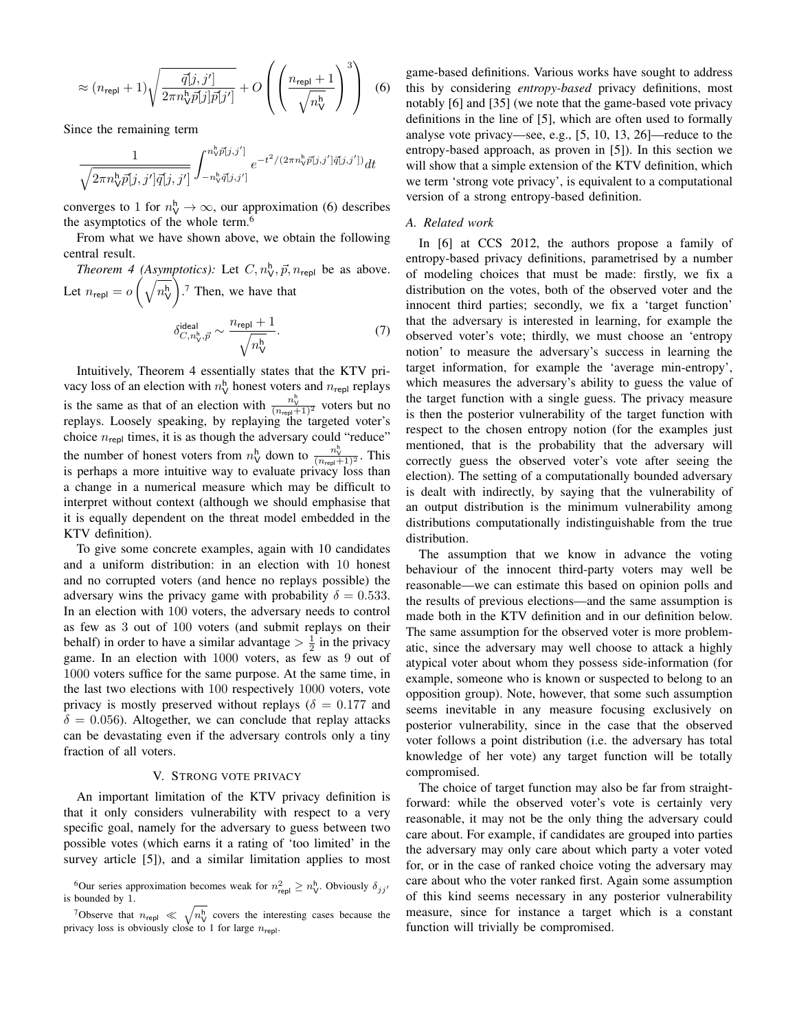$$
\approx (n_{\text{repl}} + 1) \sqrt{\frac{\bar{q}[j, j']}{2\pi n_{\text{V}}^b \bar{p}[j] \bar{p}[j']}} + O\left(\left(\frac{n_{\text{repl}} + 1}{\sqrt{n_{\text{V}}^h}}\right)^3\right)
$$
(6)

Since the remaining term

$$
\frac{1}{\sqrt{2\pi n_{\rm V}^{\rm h}\bar{p}[j,j']\bar{q}[j,j']}}\int_{-n_{\rm V}^{\rm h}\bar{q}[j,j']}^{n_{\rm V}^{\rm h}\bar{p}[j,j']}e^{-t^2/(2\pi n_{\rm V}^{\rm h}\bar{p}[j,j']\bar{q}[j,j'])}dt
$$

converges to 1 for  $n_{\mathsf{V}}^{\mathsf{h}} \to \infty$ , our approximation (6) describes the asymptotics of the whole term.<sup>6</sup>

From what we have shown above, we obtain the following central result.

*Theorem 4 (Asymptotics):* Let  $C, n_v^h, \vec{p}, n_{\text{repl}}$  be as above. Let  $n_{\sf repl} = o\left(\sqrt{n_{\sf V}^{\sf h}}\right)$  . <sup>7</sup> Then, we have that  $n_{\mathsf{repl}}+1$ 

$$
\delta^{\text{ideal}}_{C, n_{\text{V}}^{\text{h}}, \vec{p}} \sim \frac{n_{\text{rep}} + 1}{\sqrt{n_{\text{V}}^{\text{h}}}}.\tag{7}
$$

Intuitively, Theorem 4 essentially states that the KTV privacy loss of an election with  $n_{\mathsf{V}}^{\mathsf{h}}$  honest voters and  $n_{\mathsf{repl}}$  replays is the same as that of an election with  $\frac{n_v^h}{(n_{\text{rep}}+1)^2}$  voters but no replays. Loosely speaking, by replaying the targeted voter's choice  $n_{\text{repl}}$  times, it is as though the adversary could "reduce" the number of honest voters from  $n_{\mathsf{V}}^{\mathsf{h}}$  down to  $\frac{n_{\mathsf{V}}^{\mathsf{h}}}{(n_{\mathsf{rep}}+1)^2}$ . This is perhaps a more intuitive way to evaluate privacy loss than a change in a numerical measure which may be difficult to interpret without context (although we should emphasise that it is equally dependent on the threat model embedded in the KTV definition).

To give some concrete examples, again with 10 candidates and a uniform distribution: in an election with 10 honest and no corrupted voters (and hence no replays possible) the adversary wins the privacy game with probability  $\delta = 0.533$ . In an election with 100 voters, the adversary needs to control as few as 3 out of 100 voters (and submit replays on their behalf) in order to have a similar advantage  $> \frac{1}{2}$  in the privacy game. In an election with 1000 voters, as few as 9 out of 1000 voters suffice for the same purpose. At the same time, in the last two elections with 100 respectively 1000 voters, vote privacy is mostly preserved without replays ( $\delta = 0.177$  and  $\delta = 0.056$ ). Altogether, we can conclude that replay attacks can be devastating even if the adversary controls only a tiny fraction of all voters.

# V. STRONG VOTE PRIVACY

An important limitation of the KTV privacy definition is that it only considers vulnerability with respect to a very specific goal, namely for the adversary to guess between two possible votes (which earns it a rating of 'too limited' in the survey article [5]), and a similar limitation applies to most

game-based definitions. Various works have sought to address this by considering *entropy-based* privacy definitions, most notably [6] and [35] (we note that the game-based vote privacy definitions in the line of [5], which are often used to formally analyse vote privacy—see, e.g., [5, 10, 13, 26]—reduce to the entropy-based approach, as proven in [5]). In this section we will show that a simple extension of the KTV definition, which we term 'strong vote privacy', is equivalent to a computational version of a strong entropy-based definition.

### *A. Related work*

In [6] at CCS 2012, the authors propose a family of entropy-based privacy definitions, parametrised by a number of modeling choices that must be made: firstly, we fix a distribution on the votes, both of the observed voter and the innocent third parties; secondly, we fix a 'target function' that the adversary is interested in learning, for example the observed voter's vote; thirdly, we must choose an 'entropy notion' to measure the adversary's success in learning the target information, for example the 'average min-entropy', which measures the adversary's ability to guess the value of the target function with a single guess. The privacy measure is then the posterior vulnerability of the target function with respect to the chosen entropy notion (for the examples just mentioned, that is the probability that the adversary will correctly guess the observed voter's vote after seeing the election). The setting of a computationally bounded adversary is dealt with indirectly, by saying that the vulnerability of an output distribution is the minimum vulnerability among distributions computationally indistinguishable from the true distribution.

The assumption that we know in advance the voting behaviour of the innocent third-party voters may well be reasonable—we can estimate this based on opinion polls and the results of previous elections—and the same assumption is made both in the KTV definition and in our definition below. The same assumption for the observed voter is more problematic, since the adversary may well choose to attack a highly atypical voter about whom they possess side-information (for example, someone who is known or suspected to belong to an opposition group). Note, however, that some such assumption seems inevitable in any measure focusing exclusively on posterior vulnerability, since in the case that the observed voter follows a point distribution (i.e. the adversary has total knowledge of her vote) any target function will be totally compromised.

The choice of target function may also be far from straightforward: while the observed voter's vote is certainly very reasonable, it may not be the only thing the adversary could care about. For example, if candidates are grouped into parties the adversary may only care about which party a voter voted for, or in the case of ranked choice voting the adversary may care about who the voter ranked first. Again some assumption of this kind seems necessary in any posterior vulnerability measure, since for instance a target which is a constant function will trivially be compromised.

<sup>&</sup>lt;sup>6</sup>Our series approximation becomes weak for  $n_{\text{repl}}^2 \ge n_V^{\text{h}}$ . Obviously  $\delta_{jj'}$ is bounded by 1.

<sup>&</sup>lt;sup>7</sup>Observe that  $n_{\text{repl}} \ll \sqrt{n_{\text{V}}^{\text{h}}}$  covers the interesting cases because the privacy loss is obviously close to 1 for large  $n_{\text{repl}}$ .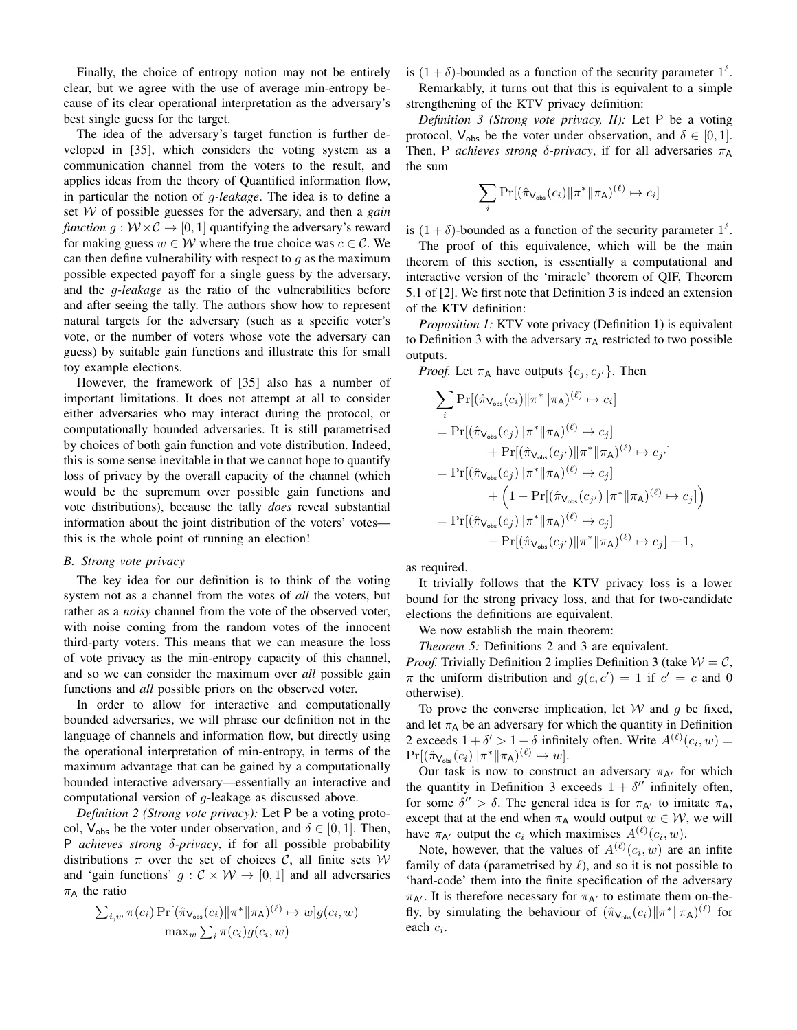Finally, the choice of entropy notion may not be entirely clear, but we agree with the use of average min-entropy because of its clear operational interpretation as the adversary's best single guess for the target.

The idea of the adversary's target function is further developed in [35], which considers the voting system as a communication channel from the voters to the result, and applies ideas from the theory of Quantified information flow, in particular the notion of g*-leakage*. The idea is to define a set W of possible guesses for the adversary, and then a *gain function*  $g: W \times C \rightarrow [0, 1]$  quantifying the adversary's reward for making guess  $w \in W$  where the true choice was  $c \in \mathcal{C}$ . We can then define vulnerability with respect to  $q$  as the maximum possible expected payoff for a single guess by the adversary, and the g*-leakage* as the ratio of the vulnerabilities before and after seeing the tally. The authors show how to represent natural targets for the adversary (such as a specific voter's vote, or the number of voters whose vote the adversary can guess) by suitable gain functions and illustrate this for small toy example elections.

However, the framework of [35] also has a number of important limitations. It does not attempt at all to consider either adversaries who may interact during the protocol, or computationally bounded adversaries. It is still parametrised by choices of both gain function and vote distribution. Indeed, this is some sense inevitable in that we cannot hope to quantify loss of privacy by the overall capacity of the channel (which would be the supremum over possible gain functions and vote distributions), because the tally *does* reveal substantial information about the joint distribution of the voters' votes this is the whole point of running an election!

# *B. Strong vote privacy*

The key idea for our definition is to think of the voting system not as a channel from the votes of *all* the voters, but rather as a *noisy* channel from the vote of the observed voter, with noise coming from the random votes of the innocent third-party voters. This means that we can measure the loss of vote privacy as the min-entropy capacity of this channel, and so we can consider the maximum over *all* possible gain functions and *all* possible priors on the observed voter.

In order to allow for interactive and computationally bounded adversaries, we will phrase our definition not in the language of channels and information flow, but directly using the operational interpretation of min-entropy, in terms of the maximum advantage that can be gained by a computationally bounded interactive adversary—essentially an interactive and computational version of g-leakage as discussed above.

*Definition 2 (Strong vote privacy):* Let P be a voting protocol,  $V_{obs}$  be the voter under observation, and  $\delta \in [0, 1]$ . Then, P *achieves strong* δ*-privacy*, if for all possible probability distributions  $\pi$  over the set of choices C, all finite sets W and 'gain functions'  $g : \mathcal{C} \times \mathcal{W} \rightarrow [0, 1]$  and all adversaries  $\pi_A$  the ratio

$$
\frac{\sum_{i,w} \pi(c_i) \Pr[(\hat{\pi}_{\mathsf{V}_{\text{obs}}}(c_i) || \pi^* || \pi_{\mathsf{A}})^{(\ell)} \mapsto w] g(c_i, w)}{\max_{w} \sum_{i} \pi(c_i) g(c_i, w)}
$$

is  $(1 + \delta)$ -bounded as a function of the security parameter  $1^{\ell}$ . Remarkably, it turns out that this is equivalent to a simple

strengthening of the KTV privacy definition:

*Definition 3 (Strong vote privacy, II):* Let P be a voting protocol,  $V_{obs}$  be the voter under observation, and  $\delta \in [0, 1]$ . Then, P *achieves strong*  $\delta$ -privacy, if for all adversaries  $\pi_A$ the sum

$$
\sum_i \Pr[(\hat{\pi}_{\mathsf{V}_{\mathsf{obs}}}(c_i)\|\pi^*\|\pi_{\mathsf{A}})^{(\ell)} \mapsto c_i]
$$

is  $(1 + \delta)$ -bounded as a function of the security parameter  $1^{\ell}$ .

The proof of this equivalence, which will be the main theorem of this section, is essentially a computational and interactive version of the 'miracle' theorem of QIF, Theorem 5.1 of [2]. We first note that Definition 3 is indeed an extension of the KTV definition:

*Proposition 1:* KTV vote privacy (Definition 1) is equivalent to Definition 3 with the adversary  $\pi_A$  restricted to two possible outputs.

*Proof.* Let  $\pi_A$  have outputs  $\{c_j, c_{j'}\}$ . Then

$$
\sum_{i} \Pr[(\hat{\pi}_{\mathsf{V}_{\text{obs}}}(c_{i})||\pi^{*}||\pi_{\mathsf{A}})^{(\ell)} \mapsto c_{i}]
$$
\n
$$
= \Pr[(\hat{\pi}_{\mathsf{V}_{\text{obs}}}(c_{j})||\pi^{*}||\pi_{\mathsf{A}})^{(\ell)} \mapsto c_{j}]
$$
\n
$$
+ \Pr[(\hat{\pi}_{\mathsf{V}_{\text{obs}}}(c_{j'})||\pi^{*}||\pi_{\mathsf{A}})^{(\ell)} \mapsto c_{j'}]
$$
\n
$$
= \Pr[(\hat{\pi}_{\mathsf{V}_{\text{obs}}}(c_{j})||\pi^{*}||\pi_{\mathsf{A}})^{(\ell)} \mapsto c_{j}]
$$
\n
$$
+ \left(1 - \Pr[(\hat{\pi}_{\mathsf{V}_{\text{obs}}}(c_{j'})||\pi^{*}||\pi_{\mathsf{A}})^{(\ell)} \mapsto c_{j}]\right)
$$
\n
$$
= \Pr[(\hat{\pi}_{\mathsf{V}_{\text{obs}}}(c_{j})||\pi^{*}||\pi_{\mathsf{A}})^{(\ell)} \mapsto c_{j}]
$$
\n
$$
- \Pr[(\hat{\pi}_{\mathsf{V}_{\text{obs}}}(c_{j'})||\pi^{*}||\pi_{\mathsf{A}})^{(\ell)} \mapsto c_{j}] + 1,
$$

as required.

It trivially follows that the KTV privacy loss is a lower bound for the strong privacy loss, and that for two-candidate elections the definitions are equivalent.

We now establish the main theorem:

*Theorem 5:* Definitions 2 and 3 are equivalent.

*Proof.* Trivially Definition 2 implies Definition 3 (take  $W = C$ ,  $\pi$  the uniform distribution and  $g(c, c') = 1$  if  $c' = c$  and 0 otherwise).

To prove the converse implication, let  $W$  and  $q$  be fixed, and let  $\pi_A$  be an adversary for which the quantity in Definition 2 exceeds  $1 + \delta' > 1 + \delta$  infinitely often. Write  $A^{(\ell)}(c_i, w) =$  $\Pr[(\hat{\pi}_{\mathsf{V}_{\text{obs}}}(c_i) \| \pi^* \| \pi_{\mathsf{A}})^{(\ell)} \mapsto w].$ 

Our task is now to construct an adversary  $\pi_{A'}$  for which the quantity in Definition 3 exceeds  $1 + \delta''$  infinitely often, for some  $\delta'' > \delta$ . The general idea is for  $\pi_{A'}$  to imitate  $\pi_A$ , except that at the end when  $\pi_A$  would output  $w \in \mathcal{W}$ , we will have  $\pi_{A'}$  output the  $c_i$  which maximises  $A^{(\ell)}(c_i, w)$ .

Note, however, that the values of  $A^{(\ell)}(c_i, w)$  are an infite family of data (parametrised by  $\ell$ ), and so it is not possible to 'hard-code' them into the finite specification of the adversary  $\pi_{A'}$ . It is therefore necessary for  $\pi_{A'}$  to estimate them on-thefly, by simulating the behaviour of  $(\hat{\pi}_{\mathsf{V}_{\text{obs}}}(c_i) || \pi^* || \pi_{\mathsf{A}})^{(\ell)}$  for each  $c_i$ .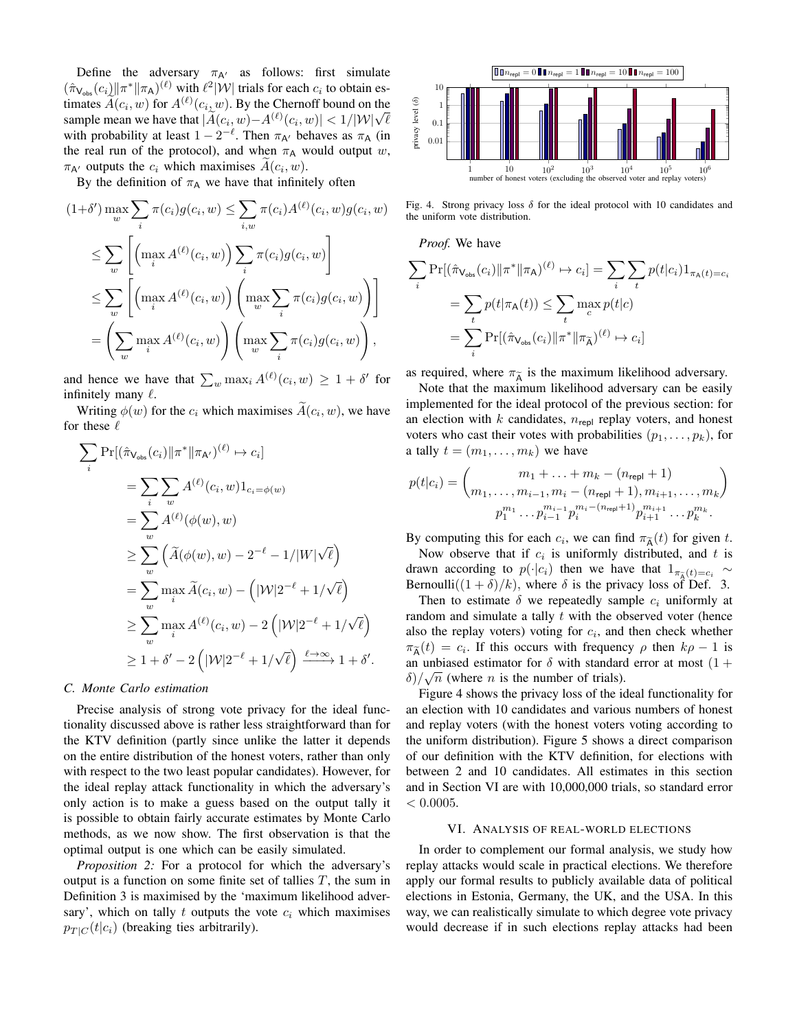Define the adversary  $\pi_{A'}$  as follows: first simulate  $(\hat{\pi}_{\mathsf{V}_{\text{obs}}}(c_i) || \pi^* || \pi_{\mathsf{A}})^{(\ell)}$  with  $\ell^2 |W|$  trials for each  $c_i$  to obtain estimates  $\widetilde{A}(c_i, w)$  for  $A^{(\ell)}(c_i, w)$ . By the Chernoff bound on the timates  $A(c_i, w)$  for  $A^{\infty}(c_i, w)$ . By the Chernott bound on the<br>sample mean we have that  $|\widetilde{A}(c_i, w) - A^{(\ell)}(c_i, w)| < 1/|\mathcal{W}|\sqrt{\ell}$ with probability at least  $1 - 2^{-\ell}$ . Then  $\pi_{A'}$  behaves as  $\pi_A$  (in the real run of the protocol), and when  $\pi_A$  would output w,  $\pi_{A'}$  outputs the  $c_i$  which maximises  $A(c_i, w)$ .

By the definition of  $\pi_A$  we have that infinitely often

$$
(1+\delta') \max_{w} \sum_{i} \pi(c_i) g(c_i, w) \leq \sum_{i,w} \pi(c_i) A^{(\ell)}(c_i, w) g(c_i, w)
$$
  
\n
$$
\leq \sum_{w} \left[ \left( \max_{i} A^{(\ell)}(c_i, w) \right) \sum_{i} \pi(c_i) g(c_i, w) \right]
$$
  
\n
$$
\leq \sum_{w} \left[ \left( \max_{i} A^{(\ell)}(c_i, w) \right) \left( \max_{w} \sum_{i} \pi(c_i) g(c_i, w) \right) \right]
$$
  
\n
$$
= \left( \sum_{w} \max_{i} A^{(\ell)}(c_i, w) \right) \left( \max_{w} \sum_{i} \pi(c_i) g(c_i, w) \right),
$$

and hence we have that  $\sum_{w} \max_{i} A^{(\ell)}(c_i, w) \geq 1 + \delta'$  for infinitely many  $\ell$ .

Writing  $\phi(w)$  for the  $c_i$  which maximises  $A(c_i, w)$ , we have for these  $\ell$ 

$$
\sum_{i} \Pr[(\hat{\pi}_{\mathsf{V}_{\text{obs}}}(c_{i})||\pi^*||\pi_{\mathsf{A}'})^{(\ell)} \mapsto c_{i}]
$$
\n
$$
= \sum_{i} \sum_{w} A^{(\ell)}(c_{i}, w) 1_{c_{i} = \phi(w)}
$$
\n
$$
= \sum_{w} A^{(\ell)}(\phi(w), w)
$$
\n
$$
\geq \sum_{w} (\widetilde{A}(\phi(w), w) - 2^{-\ell} - 1/|W|\sqrt{\ell})
$$
\n
$$
= \sum_{w} \max_{i} \widetilde{A}(c_{i}, w) - (|W|2^{-\ell} + 1/\sqrt{\ell})
$$
\n
$$
\geq \sum_{w} \max_{i} A^{(\ell)}(c_{i}, w) - 2(|W|2^{-\ell} + 1/\sqrt{\ell})
$$
\n
$$
\geq 1 + \delta' - 2(|W|2^{-\ell} + 1/\sqrt{\ell}) \xrightarrow{\ell \to \infty} 1 + \delta'.
$$

### *C. Monte Carlo estimation*

Precise analysis of strong vote privacy for the ideal functionality discussed above is rather less straightforward than for the KTV definition (partly since unlike the latter it depends on the entire distribution of the honest voters, rather than only with respect to the two least popular candidates). However, for the ideal replay attack functionality in which the adversary's only action is to make a guess based on the output tally it is possible to obtain fairly accurate estimates by Monte Carlo methods, as we now show. The first observation is that the optimal output is one which can be easily simulated.

*Proposition 2:* For a protocol for which the adversary's output is a function on some finite set of tallies  $T$ , the sum in Definition 3 is maximised by the 'maximum likelihood adversary', which on tally t outputs the vote  $c_i$  which maximises  $p_{T|C}(t|c_i)$  (breaking ties arbitrarily).



Fig. 4. Strong privacy loss  $\delta$  for the ideal protocol with 10 candidates and the uniform vote distribution.

*Proof.* We have

$$
\sum_{i} \Pr[(\hat{\pi}_{\mathsf{V}_{\mathsf{obs}}}(c_i) \| \pi^* \| \pi_{\mathsf{A}})^{(\ell)} \mapsto c_i] = \sum_{i} \sum_{t} p(t|c_i) \mathbf{1}_{\pi_{\mathsf{A}}(t) = c_i}
$$

$$
= \sum_{t} p(t|\pi_{\mathsf{A}}(t)) \le \sum_{t} \max_{c} p(t|c)
$$

$$
= \sum_{i} \Pr[(\hat{\pi}_{\mathsf{V}_{\mathsf{obs}}}(c_i) \| \pi^* \| \pi_{\mathsf{A}})^{(\ell)} \mapsto c_i]
$$

as required, where  $\pi_{\widetilde{A}}$  is the maximum likelihood adversary.

Note that the maximum likelihood adversary can be easily implemented for the ideal protocol of the previous section: for an election with  $k$  candidates,  $n_{\text{repl}}$  replay voters, and honest voters who cast their votes with probabilities  $(p_1, \ldots, p_k)$ , for a tally  $t = (m_1, \ldots, m_k)$  we have

$$
p(t|c_i) = {m_1 + \dots + m_k - (n_{\text{repl}} + 1) \over m_1, \dots, m_{i-1}, m_i - (n_{\text{repl}} + 1), m_{i+1}, \dots, m_k}
$$

$$
p_1^{m_1} \dots p_{i-1}^{m_{i-1}} p_i^{m_i - (n_{\text{repl}} + 1)} p_{i+1}^{m_{i+1}} \dots p_k^{m_k}.
$$

By computing this for each  $c_i$ , we can find  $\pi_{\tilde{A}}(t)$  for given t. Now observe that if  $c_i$  is uniformly distributed, and t is drawn according to  $p(\cdot|c_i)$  then we have that  $1_{\pi_{\tilde{A}}(t)=c_i}$  ∼ Bernoulli $((1 + \delta)/k)$ , where  $\delta$  is the privacy loss of Def. 3.

Then to estimate  $\delta$  we repeatedly sample  $c_i$  uniformly at random and simulate a tally  $t$  with the observed voter (hence also the replay voters) voting for  $c_i$ , and then check whether  $\pi_{\widetilde{A}}(t) = c_i$ . If this occurs with frequency  $\rho$  then  $k\rho - 1$  is an unbiased estimator for  $\delta$  with standard error at most  $(1 + \delta) / \sqrt{2}$  $\delta$ )/ $\sqrt{n}$  (where *n* is the number of trials).

Figure 4 shows the privacy loss of the ideal functionality for an election with 10 candidates and various numbers of honest and replay voters (with the honest voters voting according to the uniform distribution). Figure 5 shows a direct comparison of our definition with the KTV definition, for elections with between 2 and 10 candidates. All estimates in this section and in Section VI are with 10,000,000 trials, so standard error  $< 0.0005$ .

# VI. ANALYSIS OF REAL-WORLD ELECTIONS

In order to complement our formal analysis, we study how replay attacks would scale in practical elections. We therefore apply our formal results to publicly available data of political elections in Estonia, Germany, the UK, and the USA. In this way, we can realistically simulate to which degree vote privacy would decrease if in such elections replay attacks had been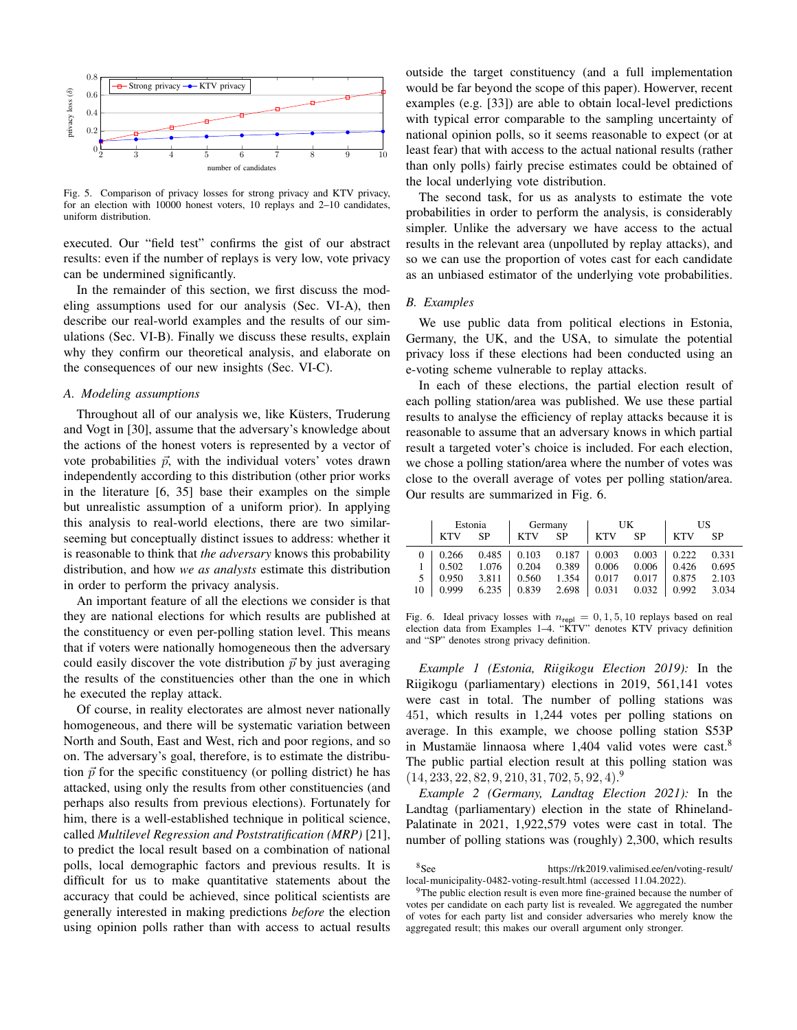

Fig. 5. Comparison of privacy losses for strong privacy and KTV privacy, for an election with 10000 honest voters, 10 replays and 2–10 candidates, uniform distribution.

executed. Our "field test" confirms the gist of our abstract results: even if the number of replays is very low, vote privacy can be undermined significantly.

In the remainder of this section, we first discuss the modeling assumptions used for our analysis (Sec. VI-A), then describe our real-world examples and the results of our simulations (Sec. VI-B). Finally we discuss these results, explain why they confirm our theoretical analysis, and elaborate on the consequences of our new insights (Sec. VI-C).

# *A. Modeling assumptions*

Throughout all of our analysis we, like Küsters, Truderung and Vogt in [30], assume that the adversary's knowledge about the actions of the honest voters is represented by a vector of vote probabilities  $\vec{p}$ , with the individual voters' votes drawn independently according to this distribution (other prior works in the literature [6, 35] base their examples on the simple but unrealistic assumption of a uniform prior). In applying this analysis to real-world elections, there are two similarseeming but conceptually distinct issues to address: whether it is reasonable to think that *the adversary* knows this probability distribution, and how *we as analysts* estimate this distribution in order to perform the privacy analysis.

An important feature of all the elections we consider is that they are national elections for which results are published at the constituency or even per-polling station level. This means that if voters were nationally homogeneous then the adversary could easily discover the vote distribution  $\vec{p}$  by just averaging the results of the constituencies other than the one in which he executed the replay attack.

Of course, in reality electorates are almost never nationally homogeneous, and there will be systematic variation between North and South, East and West, rich and poor regions, and so on. The adversary's goal, therefore, is to estimate the distribution  $\vec{p}$  for the specific constituency (or polling district) he has attacked, using only the results from other constituencies (and perhaps also results from previous elections). Fortunately for him, there is a well-established technique in political science, called *Multilevel Regression and Poststratification (MRP)* [21], to predict the local result based on a combination of national polls, local demographic factors and previous results. It is difficult for us to make quantitative statements about the accuracy that could be achieved, since political scientists are generally interested in making predictions *before* the election using opinion polls rather than with access to actual results

outside the target constituency (and a full implementation would be far beyond the scope of this paper). Howerver, recent examples (e.g. [33]) are able to obtain local-level predictions with typical error comparable to the sampling uncertainty of national opinion polls, so it seems reasonable to expect (or at least fear) that with access to the actual national results (rather than only polls) fairly precise estimates could be obtained of the local underlying vote distribution.

The second task, for us as analysts to estimate the vote probabilities in order to perform the analysis, is considerably simpler. Unlike the adversary we have access to the actual results in the relevant area (unpolluted by replay attacks), and so we can use the proportion of votes cast for each candidate as an unbiased estimator of the underlying vote probabilities.

### *B. Examples*

We use public data from political elections in Estonia, Germany, the UK, and the USA, to simulate the potential privacy loss if these elections had been conducted using an e-voting scheme vulnerable to replay attacks.

In each of these elections, the partial election result of each polling station/area was published. We use these partial results to analyse the efficiency of replay attacks because it is reasonable to assume that an adversary knows in which partial result a targeted voter's choice is included. For each election, we chose a polling station/area where the number of votes was close to the overall average of votes per polling station/area. Our results are summarized in Fig. 6.

|    | Estonia    |       | Germany |                                 | UK         |           | US            |       |
|----|------------|-------|---------|---------------------------------|------------|-----------|---------------|-------|
|    | <b>KTV</b> | SP    | KTV     | <b>SP</b>                       | <b>KTV</b> | <b>SP</b> | <b>KTV</b>    | SP    |
|    | 0.266      |       |         | $0.485$   $0.103$ 0.187   0.003 |            | 0.003     | $\perp$ 0.222 | 0.331 |
|    | 0.502      | 1.076 | 0.204   | $0.389$   0.006                 |            | 0.006     | 0.426         | 0.695 |
|    | 0.950      | 3.811 | 0.560   | 1.354                           | 0.017      | 0.017     | 0.875         | 2.103 |
| 10 | 0.999      | 6.235 | 0.839   | 2.698                           | 0.031      | 0.032     | 0.992         | 3.034 |

Fig. 6. Ideal privacy losses with  $n_{\text{repl}} = 0, 1, 5, 10$  replays based on real election data from Examples 1–4. "KTV" denotes KTV privacy definition and "SP" denotes strong privacy definition.

*Example 1 (Estonia, Riigikogu Election 2019):* In the Riigikogu (parliamentary) elections in 2019, 561,141 votes were cast in total. The number of polling stations was 451, which results in 1,244 votes per polling stations on average. In this example, we choose polling station S53P in Mustamäe linnaosa where 1,404 valid votes were cast.<sup>8</sup> The public partial election result at this polling station was  $(14, 233, 22, 82, 9, 210, 31, 702, 5, 92, 4).$ <sup>9</sup>

*Example 2 (Germany, Landtag Election 2021):* In the Landtag (parliamentary) election in the state of Rhineland-Palatinate in 2021, 1,922,579 votes were cast in total. The number of polling stations was (roughly) 2,300, which results

<sup>8</sup>See https://rk2019.valimised.ee/en/voting-result/ local-municipality-0482-voting-result.html (accessed 11.04.2022).

 $9$ The public election result is even more fine-grained because the number of votes per candidate on each party list is revealed. We aggregated the number of votes for each party list and consider adversaries who merely know the aggregated result; this makes our overall argument only stronger.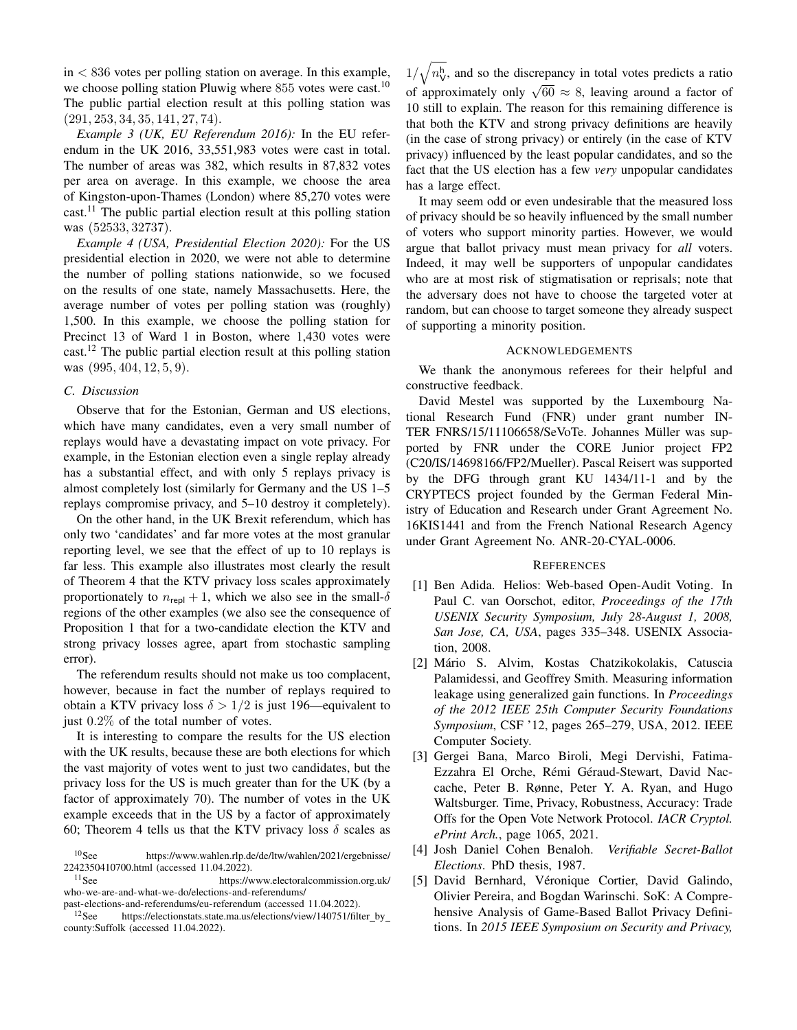$in < 836$  votes per polling station on average. In this example, we choose polling station Pluwig where 855 votes were cast.<sup>10</sup> The public partial election result at this polling station was (291, 253, 34, 35, 141, 27, 74).

*Example 3 (UK, EU Referendum 2016):* In the EU referendum in the UK 2016, 33,551,983 votes were cast in total. The number of areas was 382, which results in 87,832 votes per area on average. In this example, we choose the area of Kingston-upon-Thames (London) where 85,270 votes were  $cast<sup>11</sup>$ . The public partial election result at this polling station was (52533, 32737).

*Example 4 (USA, Presidential Election 2020):* For the US presidential election in 2020, we were not able to determine the number of polling stations nationwide, so we focused on the results of one state, namely Massachusetts. Here, the average number of votes per polling station was (roughly) 1,500. In this example, we choose the polling station for Precinct 13 of Ward 1 in Boston, where 1,430 votes were cast.<sup>12</sup> The public partial election result at this polling station was  $(995, 404, 12, 5, 9)$ .

# *C. Discussion*

Observe that for the Estonian, German and US elections, which have many candidates, even a very small number of replays would have a devastating impact on vote privacy. For example, in the Estonian election even a single replay already has a substantial effect, and with only 5 replays privacy is almost completely lost (similarly for Germany and the US 1–5 replays compromise privacy, and 5–10 destroy it completely).

On the other hand, in the UK Brexit referendum, which has only two 'candidates' and far more votes at the most granular reporting level, we see that the effect of up to 10 replays is far less. This example also illustrates most clearly the result of Theorem 4 that the KTV privacy loss scales approximately proportionately to  $n_{\text{repl}} + 1$ , which we also see in the small- $\delta$ regions of the other examples (we also see the consequence of Proposition 1 that for a two-candidate election the KTV and strong privacy losses agree, apart from stochastic sampling error).

The referendum results should not make us too complacent, however, because in fact the number of replays required to obtain a KTV privacy loss  $\delta > 1/2$  is just 196—equivalent to just 0.2% of the total number of votes.

It is interesting to compare the results for the US election with the UK results, because these are both elections for which the vast majority of votes went to just two candidates, but the privacy loss for the US is much greater than for the UK (by a factor of approximately 70). The number of votes in the UK example exceeds that in the US by a factor of approximately 60; Theorem 4 tells us that the KTV privacy loss  $\delta$  scales as

 $1/\sqrt{n_{\rm V}^{\rm h}}$ , and so the discrepancy in total votes predicts a ratio of approximately only  $\sqrt{60} \approx 8$ , leaving around a factor of 10 still to explain. The reason for this remaining difference is that both the KTV and strong privacy definitions are heavily (in the case of strong privacy) or entirely (in the case of KTV privacy) influenced by the least popular candidates, and so the fact that the US election has a few *very* unpopular candidates has a large effect.

It may seem odd or even undesirable that the measured loss of privacy should be so heavily influenced by the small number of voters who support minority parties. However, we would argue that ballot privacy must mean privacy for *all* voters. Indeed, it may well be supporters of unpopular candidates who are at most risk of stigmatisation or reprisals; note that the adversary does not have to choose the targeted voter at random, but can choose to target someone they already suspect of supporting a minority position.

### ACKNOWLEDGEMENTS

We thank the anonymous referees for their helpful and constructive feedback.

David Mestel was supported by the Luxembourg National Research Fund (FNR) under grant number IN-TER FNRS/15/11106658/SeVoTe. Johannes Müller was supported by FNR under the CORE Junior project FP2 (C20/IS/14698166/FP2/Mueller). Pascal Reisert was supported by the DFG through grant KU 1434/11-1 and by the CRYPTECS project founded by the German Federal Ministry of Education and Research under Grant Agreement No. 16KIS1441 and from the French National Research Agency under Grant Agreement No. ANR-20-CYAL-0006.

### **REFERENCES**

- [1] Ben Adida. Helios: Web-based Open-Audit Voting. In Paul C. van Oorschot, editor, *Proceedings of the 17th USENIX Security Symposium, July 28-August 1, 2008, San Jose, CA, USA*, pages 335–348. USENIX Association, 2008.
- [2] Mario S. Alvim, Kostas Chatzikokolakis, Catuscia ´ Palamidessi, and Geoffrey Smith. Measuring information leakage using generalized gain functions. In *Proceedings of the 2012 IEEE 25th Computer Security Foundations Symposium*, CSF '12, pages 265–279, USA, 2012. IEEE Computer Society.
- [3] Gergei Bana, Marco Biroli, Megi Dervishi, Fatima-Ezzahra El Orche, Rémi Géraud-Stewart, David Naccache, Peter B. Rønne, Peter Y. A. Ryan, and Hugo Waltsburger. Time, Privacy, Robustness, Accuracy: Trade Offs for the Open Vote Network Protocol. *IACR Cryptol. ePrint Arch.*, page 1065, 2021.
- [4] Josh Daniel Cohen Benaloh. *Verifiable Secret-Ballot Elections*. PhD thesis, 1987.
- [5] David Bernhard, Véronique Cortier, David Galindo, Olivier Pereira, and Bogdan Warinschi. SoK: A Comprehensive Analysis of Game-Based Ballot Privacy Definitions. In *2015 IEEE Symposium on Security and Privacy,*

<sup>10</sup>See https://www.wahlen.rlp.de/de/ltw/wahlen/2021/ergebnisse/ 2242350410700.html (accessed 11.04.2022).<br><sup>11</sup>See https://w

https://www.electoralcommission.org.uk/ who-we-are-and-what-we-do/elections-and-referendums/

past-elections-and-referendums/eu-referendum (accessed 11.04.2022).

<sup>&</sup>lt;sup>12</sup>See https://electionstats.state.ma.us/elections/view/140751/filter\_by\_ county:Suffolk (accessed 11.04.2022).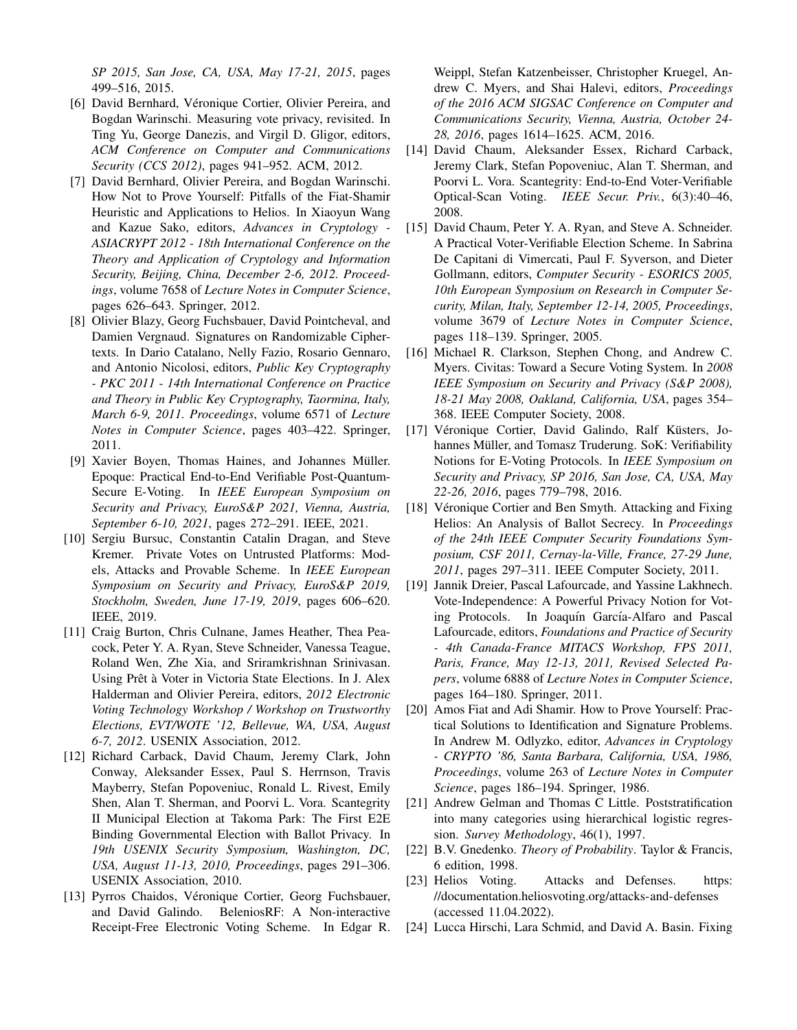*SP 2015, San Jose, CA, USA, May 17-21, 2015*, pages 499–516, 2015.

- [6] David Bernhard, Véronique Cortier, Olivier Pereira, and Bogdan Warinschi. Measuring vote privacy, revisited. In Ting Yu, George Danezis, and Virgil D. Gligor, editors, *ACM Conference on Computer and Communications Security (CCS 2012)*, pages 941–952. ACM, 2012.
- [7] David Bernhard, Olivier Pereira, and Bogdan Warinschi. How Not to Prove Yourself: Pitfalls of the Fiat-Shamir Heuristic and Applications to Helios. In Xiaoyun Wang and Kazue Sako, editors, *Advances in Cryptology - ASIACRYPT 2012 - 18th International Conference on the Theory and Application of Cryptology and Information Security, Beijing, China, December 2-6, 2012. Proceedings*, volume 7658 of *Lecture Notes in Computer Science*, pages 626–643. Springer, 2012.
- [8] Olivier Blazy, Georg Fuchsbauer, David Pointcheval, and Damien Vergnaud. Signatures on Randomizable Ciphertexts. In Dario Catalano, Nelly Fazio, Rosario Gennaro, and Antonio Nicolosi, editors, *Public Key Cryptography - PKC 2011 - 14th International Conference on Practice and Theory in Public Key Cryptography, Taormina, Italy, March 6-9, 2011. Proceedings*, volume 6571 of *Lecture Notes in Computer Science*, pages 403–422. Springer, 2011.
- [9] Xavier Boyen, Thomas Haines, and Johannes Müller. Epoque: Practical End-to-End Verifiable Post-Quantum-Secure E-Voting. In *IEEE European Symposium on Security and Privacy, EuroS&P 2021, Vienna, Austria, September 6-10, 2021*, pages 272–291. IEEE, 2021.
- [10] Sergiu Bursuc, Constantin Catalin Dragan, and Steve Kremer. Private Votes on Untrusted Platforms: Models, Attacks and Provable Scheme. In *IEEE European Symposium on Security and Privacy, EuroS&P 2019, Stockholm, Sweden, June 17-19, 2019*, pages 606–620. IEEE, 2019.
- [11] Craig Burton, Chris Culnane, James Heather, Thea Peacock, Peter Y. A. Ryan, Steve Schneider, Vanessa Teague, Roland Wen, Zhe Xia, and Sriramkrishnan Srinivasan. Using Prêt à Voter in Victoria State Elections. In J. Alex Halderman and Olivier Pereira, editors, *2012 Electronic Voting Technology Workshop / Workshop on Trustworthy Elections, EVT/WOTE '12, Bellevue, WA, USA, August 6-7, 2012*. USENIX Association, 2012.
- [12] Richard Carback, David Chaum, Jeremy Clark, John Conway, Aleksander Essex, Paul S. Herrnson, Travis Mayberry, Stefan Popoveniuc, Ronald L. Rivest, Emily Shen, Alan T. Sherman, and Poorvi L. Vora. Scantegrity II Municipal Election at Takoma Park: The First E2E Binding Governmental Election with Ballot Privacy. In *19th USENIX Security Symposium, Washington, DC, USA, August 11-13, 2010, Proceedings*, pages 291–306. USENIX Association, 2010.
- [13] Pyrros Chaidos, Véronique Cortier, Georg Fuchsbauer, and David Galindo. BeleniosRF: A Non-interactive Receipt-Free Electronic Voting Scheme. In Edgar R.

Weippl, Stefan Katzenbeisser, Christopher Kruegel, Andrew C. Myers, and Shai Halevi, editors, *Proceedings of the 2016 ACM SIGSAC Conference on Computer and Communications Security, Vienna, Austria, October 24- 28, 2016*, pages 1614–1625. ACM, 2016.

- [14] David Chaum, Aleksander Essex, Richard Carback, Jeremy Clark, Stefan Popoveniuc, Alan T. Sherman, and Poorvi L. Vora. Scantegrity: End-to-End Voter-Verifiable Optical-Scan Voting. *IEEE Secur. Priv.*, 6(3):40–46, 2008.
- [15] David Chaum, Peter Y. A. Ryan, and Steve A. Schneider. A Practical Voter-Verifiable Election Scheme. In Sabrina De Capitani di Vimercati, Paul F. Syverson, and Dieter Gollmann, editors, *Computer Security - ESORICS 2005, 10th European Symposium on Research in Computer Security, Milan, Italy, September 12-14, 2005, Proceedings*, volume 3679 of *Lecture Notes in Computer Science*, pages 118–139. Springer, 2005.
- [16] Michael R. Clarkson, Stephen Chong, and Andrew C. Myers. Civitas: Toward a Secure Voting System. In *2008 IEEE Symposium on Security and Privacy (S&P 2008), 18-21 May 2008, Oakland, California, USA*, pages 354– 368. IEEE Computer Society, 2008.
- [17] Véronique Cortier, David Galindo, Ralf Küsters, Johannes Müller, and Tomasz Truderung. SoK: Verifiability Notions for E-Voting Protocols. In *IEEE Symposium on Security and Privacy, SP 2016, San Jose, CA, USA, May 22-26, 2016*, pages 779–798, 2016.
- [18] Véronique Cortier and Ben Smyth. Attacking and Fixing Helios: An Analysis of Ballot Secrecy. In *Proceedings of the 24th IEEE Computer Security Foundations Symposium, CSF 2011, Cernay-la-Ville, France, 27-29 June, 2011*, pages 297–311. IEEE Computer Society, 2011.
- [19] Jannik Dreier, Pascal Lafourcade, and Yassine Lakhnech. Vote-Independence: A Powerful Privacy Notion for Voting Protocols. In Joaquín García-Alfaro and Pascal Lafourcade, editors, *Foundations and Practice of Security - 4th Canada-France MITACS Workshop, FPS 2011, Paris, France, May 12-13, 2011, Revised Selected Papers*, volume 6888 of *Lecture Notes in Computer Science*, pages 164–180. Springer, 2011.
- [20] Amos Fiat and Adi Shamir. How to Prove Yourself: Practical Solutions to Identification and Signature Problems. In Andrew M. Odlyzko, editor, *Advances in Cryptology - CRYPTO '86, Santa Barbara, California, USA, 1986, Proceedings*, volume 263 of *Lecture Notes in Computer Science*, pages 186–194. Springer, 1986.
- [21] Andrew Gelman and Thomas C Little. Poststratification into many categories using hierarchical logistic regression. *Survey Methodology*, 46(1), 1997.
- [22] B.V. Gnedenko. *Theory of Probability*. Taylor & Francis, 6 edition, 1998.
- [23] Helios Voting. Attacks and Defenses. https: //documentation.heliosvoting.org/attacks-and-defenses (accessed 11.04.2022).
- [24] Lucca Hirschi, Lara Schmid, and David A. Basin. Fixing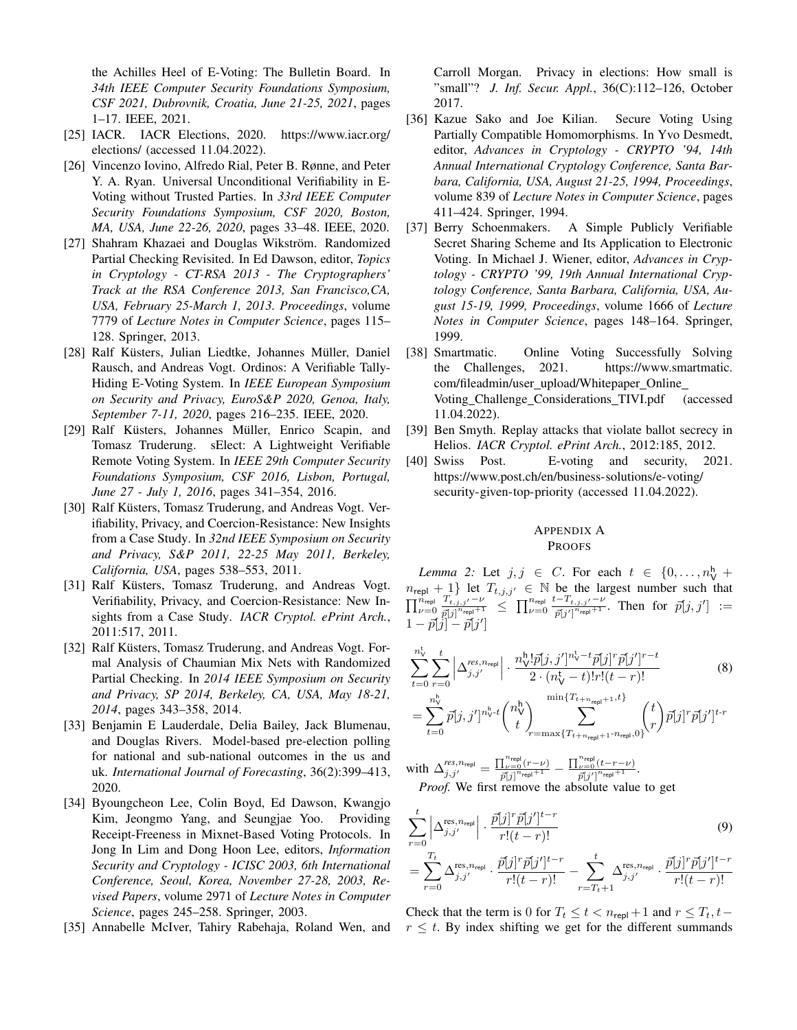the Achilles Heel of E-Voting: The Bulletin Board. In *34th IEEE Computer Security Foundations Symposium, CSF 2021, Dubrovnik, Croatia, June 21-25, 2021*, pages 1–17. IEEE, 2021.

- [25] IACR. IACR Elections, 2020. https://www.iacr.org/ elections/ (accessed 11.04.2022).
- [26] Vincenzo Iovino, Alfredo Rial, Peter B. Rønne, and Peter Y. A. Ryan. Universal Unconditional Verifiability in E-Voting without Trusted Parties. In *33rd IEEE Computer Security Foundations Symposium, CSF 2020, Boston, MA, USA, June 22-26, 2020*, pages 33–48. IEEE, 2020.
- [27] Shahram Khazaei and Douglas Wikström. Randomized Partial Checking Revisited. In Ed Dawson, editor, *Topics in Cryptology - CT-RSA 2013 - The Cryptographers' Track at the RSA Conference 2013, San Francisco,CA, USA, February 25-March 1, 2013. Proceedings*, volume 7779 of *Lecture Notes in Computer Science*, pages 115– 128. Springer, 2013.
- [28] Ralf Küsters, Julian Liedtke, Johannes Müller, Daniel Rausch, and Andreas Vogt. Ordinos: A Verifiable Tally-Hiding E-Voting System. In *IEEE European Symposium on Security and Privacy, EuroS&P 2020, Genoa, Italy, September 7-11, 2020*, pages 216–235. IEEE, 2020.
- [29] Ralf Küsters, Johannes Müller, Enrico Scapin, and Tomasz Truderung. sElect: A Lightweight Verifiable Remote Voting System. In *IEEE 29th Computer Security Foundations Symposium, CSF 2016, Lisbon, Portugal, June 27 - July 1, 2016*, pages 341–354, 2016.
- [30] Ralf Küsters, Tomasz Truderung, and Andreas Vogt. Verifiability, Privacy, and Coercion-Resistance: New Insights from a Case Study. In *32nd IEEE Symposium on Security and Privacy, S&P 2011, 22-25 May 2011, Berkeley, California, USA*, pages 538–553, 2011.
- [31] Ralf Küsters, Tomasz Truderung, and Andreas Vogt. Verifiability, Privacy, and Coercion-Resistance: New Insights from a Case Study. *IACR Cryptol. ePrint Arch.*, 2011:517, 2011.
- [32] Ralf Küsters, Tomasz Truderung, and Andreas Vogt. Formal Analysis of Chaumian Mix Nets with Randomized Partial Checking. In *2014 IEEE Symposium on Security and Privacy, SP 2014, Berkeley, CA, USA, May 18-21, 2014*, pages 343–358, 2014.
- [33] Benjamin E Lauderdale, Delia Bailey, Jack Blumenau, and Douglas Rivers. Model-based pre-election polling for national and sub-national outcomes in the us and uk. *International Journal of Forecasting*, 36(2):399–413, 2020.
- [34] Byoungcheon Lee, Colin Boyd, Ed Dawson, Kwangjo Kim, Jeongmo Yang, and Seungjae Yoo. Providing Receipt-Freeness in Mixnet-Based Voting Protocols. In Jong In Lim and Dong Hoon Lee, editors, *Information Security and Cryptology - ICISC 2003, 6th International Conference, Seoul, Korea, November 27-28, 2003, Revised Papers*, volume 2971 of *Lecture Notes in Computer Science*, pages 245–258. Springer, 2003.
- [35] Annabelle McIver, Tahiry Rabehaja, Roland Wen, and

Carroll Morgan. Privacy in elections: How small is "small"? *J. Inf. Secur. Appl.*, 36(C):112–126, October 2017.

- [36] Kazue Sako and Joe Kilian. Secure Voting Using Partially Compatible Homomorphisms. In Yvo Desmedt, editor, *Advances in Cryptology - CRYPTO '94, 14th Annual International Cryptology Conference, Santa Barbara, California, USA, August 21-25, 1994, Proceedings*, volume 839 of *Lecture Notes in Computer Science*, pages 411–424. Springer, 1994.
- [37] Berry Schoenmakers. A Simple Publicly Verifiable Secret Sharing Scheme and Its Application to Electronic Voting. In Michael J. Wiener, editor, *Advances in Cryptology - CRYPTO '99, 19th Annual International Cryptology Conference, Santa Barbara, California, USA, August 15-19, 1999, Proceedings*, volume 1666 of *Lecture Notes in Computer Science*, pages 148–164. Springer, 1999.
- [38] Smartmatic. Online Voting Successfully Solving the Challenges, 2021. https://www.smartmatic. com/fileadmin/user upload/Whitepaper Online Voting Challenge Considerations TIVI.pdf (accessed 11.04.2022).
- [39] Ben Smyth. Replay attacks that violate ballot secrecy in Helios. *IACR Cryptol. ePrint Arch.*, 2012:185, 2012.
- [40] Swiss Post. E-voting and security, 2021. https://www.post.ch/en/business-solutions/e-voting/ security-given-top-priority (accessed 11.04.2022).

# APPENDIX A PROOFS

*Lemma 2:* Let  $j, j \in C$ . For each  $t \in \{0, \ldots, n_{\mathsf{V}}^{\mathsf{h}} \}$  $n_{\text{repl}} + 1$ } let  $T_{t,j,j'} \in \mathbb{N}$  be the largest number such that  $\prod_{\nu=0}^{n_{\text{repl}}}\frac{T_{t,j,j'}-\nu}{\vec{n}|j|^{n_{\text{repl}}+1}}$  $\frac{T_{t,j,j'}-\nu}{\bar{p}[j]^{n_{\text{repl}}}+1} \leq \prod_{\nu=0}^{n_{\text{repl}}} \frac{t-T_{t,j,j'}-\nu}{\bar{p}[j']^{n_{\text{repl}}+1}}$  $\frac{\overline{p}[j']^{n_{\mathsf{rep}}+1}}{\overline{p}[j']^{n_{\mathsf{rep}}+1}}$ . Then for  $\overline{p}[j,j'] :=$  $1 - \vec{p}[\vec{j}] - \vec{p}[j']$ 

$$
\sum_{t=0}^{n_{\rm V}^{\rm t}} \sum_{r=0}^{t} \left| \Delta_{j,j'}^{res,n_{\rm repl}} \right| \cdot \frac{n_{\rm V}^{\rm h}!\bar{p}[j,j']^{n_{\rm V}^{\rm t}-t}\bar{p}[j]^r\bar{p}[j']^{r-t}}{2 \cdot (n_{\rm V}^{\rm t}-t)!r!(t-r)!} \tag{8}
$$
\n
$$
= \sum_{t=0}^{n_{\rm V}^{\rm h}} \bar{p}[j,j']^{n_{\rm V}^{\rm h}-t} {n_{\rm V}^{\rm h} \choose t} \sum_{r=\max\{T_{t+n_{\rm repl}+1}\cdot n_{\rm repl},0\}}^{min\{T_{t+n_{\rm repl}+1},t\}} {t \choose r} \bar{p}[j]^r \bar{p}[j']^{t-r}
$$

with  $\Delta_{j,j'}^{res,n_{\text{repl}}} = \frac{\prod_{\nu=0}^{n_{\text{repl}}}(r-\nu)}{\bar{p}_j^{\gamma}i n_{\text{repl}}+1}$  $\frac{\prod_{\nu=0}^{n_\text{repl}}(r-\nu)}{\tilde{p}[j]^{n_\text{repl}+1}} - \frac{\prod_{\nu=0}^{n_\text{repl}}(t-r-\nu)}{\tilde{p}[j']^{n_\text{repl}+1}}$  $\frac{\nu=0}{\vec{p}[j']^{n}$ repl $+1$ . *Proof.* We first remove the absolute value to get

$$
\sum_{r=0}^{t} \left| \Delta_{j,j'}^{\text{res},n_{\text{repl}}}\right| \cdot \frac{\bar{p}[j]^{r} \bar{p}[j']^{t-r}}{r!(t-r)!} \tag{9}
$$
\n
$$
= \sum_{r=0}^{T_t} \Delta_{j,j'}^{\text{res},n_{\text{repl}}} \cdot \frac{\bar{p}[j]^{r} \bar{p}[j']^{t-r}}{r!(t-r)!} - \sum_{r=T_t+1}^{t} \Delta_{j,j'}^{\text{res},n_{\text{repl}}} \cdot \frac{\bar{p}[j]^{r} \bar{p}[j']^{t-r}}{r!(t-r)!}
$$

Check that the term is 0 for  $T_t \le t < n_{\text{repl}} + 1$  and  $r \le T_t, t$  $r \leq t$ . By index shifting we get for the different summands